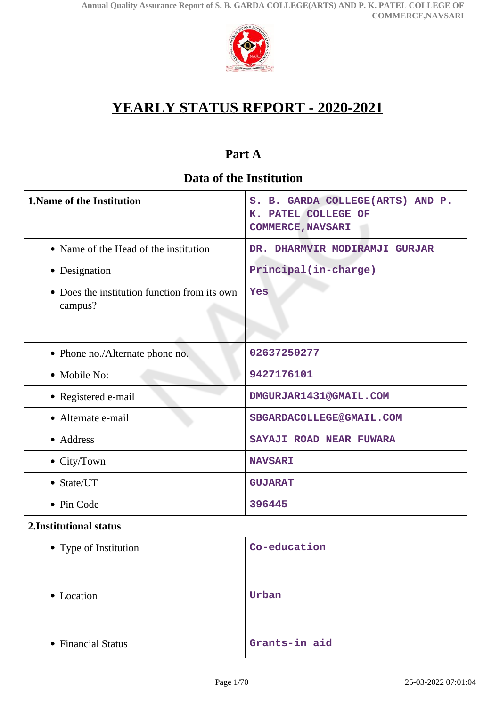

# **YEARLY STATUS REPORT - 2020-2021**

| Part A                                                  |                                                                                        |  |
|---------------------------------------------------------|----------------------------------------------------------------------------------------|--|
| Data of the Institution                                 |                                                                                        |  |
| <b>1. Name of the Institution</b>                       | S. B. GARDA COLLEGE(ARTS) AND P.<br>PATEL COLLEGE OF<br>к.<br><b>COMMERCE, NAVSARI</b> |  |
| • Name of the Head of the institution                   | DR. DHARMVIR MODIRAMJI GURJAR                                                          |  |
| • Designation                                           | Principal(in-charge)                                                                   |  |
| • Does the institution function from its own<br>campus? | Yes                                                                                    |  |
| • Phone no./Alternate phone no.                         | 02637250277                                                                            |  |
| • Mobile No:                                            | 9427176101                                                                             |  |
| • Registered e-mail                                     | DMGURJAR1431@GMAIL.COM                                                                 |  |
| • Alternate e-mail                                      | SBGARDACOLLEGE@GMAIL.COM                                                               |  |
| • Address                                               | SAYAJI ROAD NEAR FUWARA                                                                |  |
| • City/Town                                             | <b>NAVSARI</b>                                                                         |  |
| • State/UT                                              | <b>GUJARAT</b>                                                                         |  |
| • Pin Code                                              | 396445                                                                                 |  |
| 2. Institutional status                                 |                                                                                        |  |
| • Type of Institution                                   | Co-education                                                                           |  |
| • Location                                              | Urban                                                                                  |  |
| • Financial Status                                      | Grants-in aid                                                                          |  |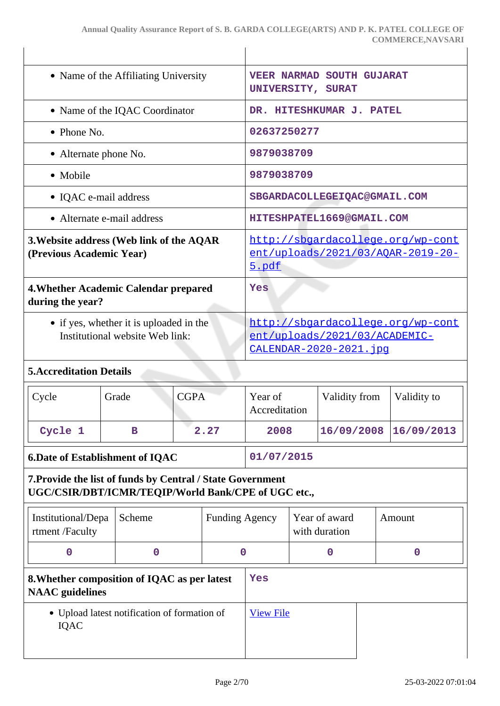| • Name of the Affiliating University                                                                              |                                 |             | <b>VEER NARMAD SOUTH GUJARAT</b><br>UNIVERSITY, SURAT                                                 |                                |  |                              |        |                  |
|-------------------------------------------------------------------------------------------------------------------|---------------------------------|-------------|-------------------------------------------------------------------------------------------------------|--------------------------------|--|------------------------------|--------|------------------|
|                                                                                                                   | • Name of the IQAC Coordinator  |             |                                                                                                       |                                |  | DR. HITESHKUMAR J. PATEL     |        |                  |
| $\bullet$ Phone No.                                                                                               |                                 |             |                                                                                                       | 02637250277                    |  |                              |        |                  |
| • Alternate phone No.                                                                                             |                                 |             |                                                                                                       | 9879038709                     |  |                              |        |                  |
| • Mobile                                                                                                          |                                 |             |                                                                                                       | 9879038709                     |  |                              |        |                  |
| • IQAC e-mail address                                                                                             |                                 |             |                                                                                                       |                                |  | SBGARDACOLLEGEIQAC@GMAIL.COM |        |                  |
|                                                                                                                   | • Alternate e-mail address      |             |                                                                                                       |                                |  | HITESHPATEL1669@GMAIL.COM    |        |                  |
| 3. Website address (Web link of the AQAR<br>(Previous Academic Year)                                              |                                 |             | http://sbgardacollege.org/wp-cont<br><u>ent/uploads/2021/03/AQAR-2019-20-</u><br>5.pdf                |                                |  |                              |        |                  |
| 4. Whether Academic Calendar prepared<br>during the year?                                                         |                                 |             |                                                                                                       | Yes                            |  |                              |        |                  |
| • if yes, whether it is uploaded in the<br>Institutional website Web link:                                        |                                 |             | http://sbgardacollege.org/wp-cont<br>ent/uploads/2021/03/ACADEMIC-<br><u> CALENDAR-2020-2021. jpg</u> |                                |  |                              |        |                  |
| <b>5. Accreditation Details</b>                                                                                   |                                 |             |                                                                                                       |                                |  |                              |        |                  |
| Cycle                                                                                                             | Grade                           | <b>CGPA</b> |                                                                                                       | Year of<br>Accreditation       |  | Validity from                |        | Validity to      |
| Cycle 1                                                                                                           | в                               |             | 2.27                                                                                                  | 2008                           |  | 16/09/2008                   |        | 16/09/2013       |
| <b>6.Date of Establishment of IQAC</b>                                                                            |                                 |             |                                                                                                       | 01/07/2015                     |  |                              |        |                  |
| 7. Provide the list of funds by Central / State Government<br>UGC/CSIR/DBT/ICMR/TEQIP/World Bank/CPE of UGC etc., |                                 |             |                                                                                                       |                                |  |                              |        |                  |
| Institutional/Depa<br>rtment /Faculty                                                                             | Scheme<br><b>Funding Agency</b> |             |                                                                                                       | Year of award<br>with duration |  |                              | Amount |                  |
| 0                                                                                                                 | $\boldsymbol{0}$                |             |                                                                                                       | $\mathbf 0$<br>0               |  |                              |        | $\boldsymbol{0}$ |
| 8. Whether composition of IQAC as per latest<br><b>NAAC</b> guidelines                                            |                                 |             | Yes                                                                                                   |                                |  |                              |        |                  |
| • Upload latest notification of formation of<br>IQAC                                                              |                                 |             | <b>View File</b>                                                                                      |                                |  |                              |        |                  |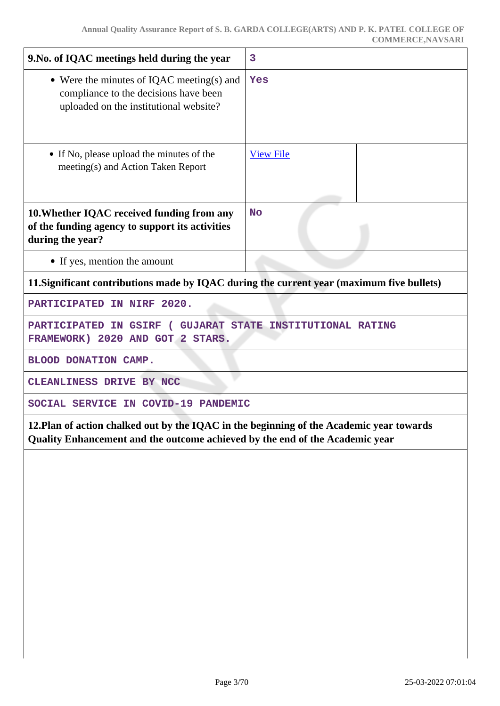| 9. No. of IQAC meetings held during the year                                                                                                                             | 3                |  |
|--------------------------------------------------------------------------------------------------------------------------------------------------------------------------|------------------|--|
| • Were the minutes of IQAC meeting(s) and<br>compliance to the decisions have been<br>uploaded on the institutional website?                                             | Yes              |  |
| • If No, please upload the minutes of the<br>meeting(s) and Action Taken Report                                                                                          | <b>View File</b> |  |
| 10. Whether IQAC received funding from any<br>of the funding agency to support its activities<br>during the year?                                                        | <b>No</b>        |  |
| • If yes, mention the amount                                                                                                                                             |                  |  |
| 11. Significant contributions made by IQAC during the current year (maximum five bullets)                                                                                |                  |  |
| <b>PARTICIPATED</b><br>IN NIRF 2020.                                                                                                                                     |                  |  |
| GUJARAT STATE INSTITUTIONAL RATING<br><b>PARTICIPATED</b><br>IN GSIRF<br>FRAMEWORK) 2020 AND GOT 2 STARS.                                                                |                  |  |
| <b>BLOOD DONATION CAMP.</b>                                                                                                                                              |                  |  |
| CLEANLINESS DRIVE BY NCC                                                                                                                                                 |                  |  |
| IN COVID-19 PANDEMIC<br><b>SOCIAL SERVICE</b>                                                                                                                            |                  |  |
| 12. Plan of action chalked out by the IQAC in the beginning of the Academic year towards<br>Quality Enhancement and the outcome achieved by the end of the Academic year |                  |  |
|                                                                                                                                                                          |                  |  |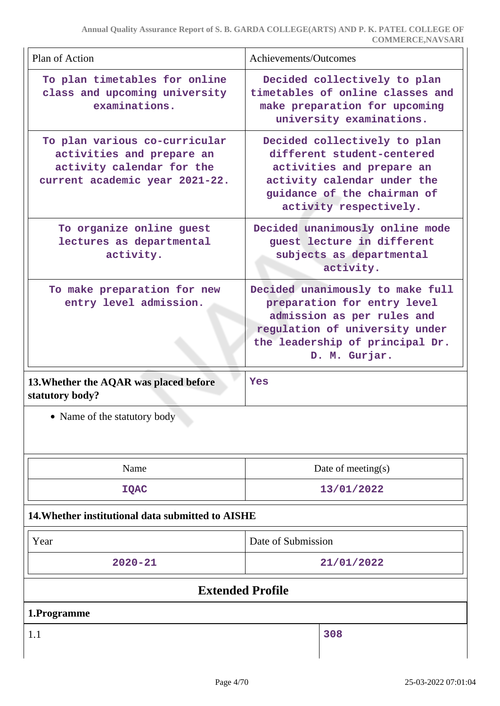| Plan of Action                                                                                                            | Achievements/Outcomes                                                                                                                                                               |
|---------------------------------------------------------------------------------------------------------------------------|-------------------------------------------------------------------------------------------------------------------------------------------------------------------------------------|
| To plan timetables for online<br>class and upcoming university<br>examinations.                                           | Decided collectively to plan<br>timetables of online classes and<br>make preparation for upcoming<br>university examinations.                                                       |
| To plan various co-curricular<br>activities and prepare an<br>activity calendar for the<br>current academic year 2021-22. | Decided collectively to plan<br>different student-centered<br>activities and prepare an<br>activity calendar under the<br>guidance of the chairman of<br>activity respectively.     |
| To organize online guest<br>lectures as departmental<br>activity.                                                         | Decided unanimously online mode<br>guest lecture in different<br>subjects as departmental<br>activity.                                                                              |
| To make preparation for new<br>entry level admission.                                                                     | Decided unanimously to make full<br>preparation for entry level<br>admission as per rules and<br>regulation of university under<br>the leadership of principal Dr.<br>D. M. Gurjar. |
| 13. Whether the AQAR was placed before<br>statutory body?                                                                 | <b>Yes</b>                                                                                                                                                                          |
| • Name of the statutory body                                                                                              |                                                                                                                                                                                     |
| Name                                                                                                                      | Date of meeting $(s)$                                                                                                                                                               |
| <b>IQAC</b>                                                                                                               | 13/01/2022                                                                                                                                                                          |
| 14. Whether institutional data submitted to AISHE                                                                         |                                                                                                                                                                                     |
| Year                                                                                                                      | Date of Submission                                                                                                                                                                  |
| $2020 - 21$                                                                                                               | 21/01/2022                                                                                                                                                                          |
| <b>Extended Profile</b>                                                                                                   |                                                                                                                                                                                     |
| 1.Programme                                                                                                               |                                                                                                                                                                                     |
| 1.1                                                                                                                       | 308                                                                                                                                                                                 |
|                                                                                                                           |                                                                                                                                                                                     |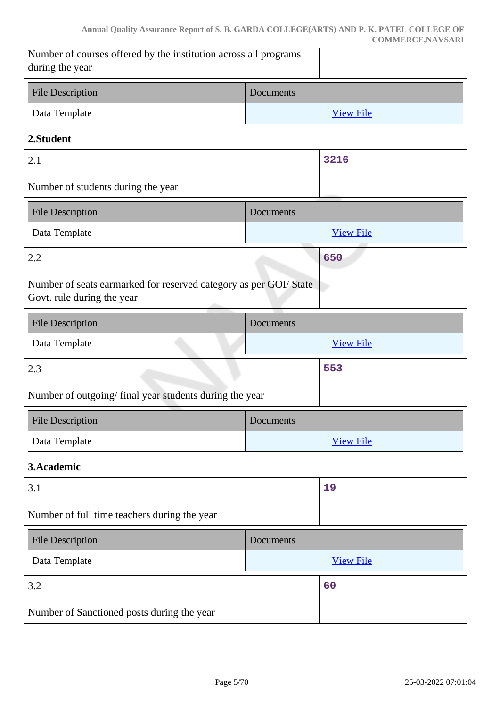| Number of courses offered by the institution across all programs<br>during the year            |                  |  |
|------------------------------------------------------------------------------------------------|------------------|--|
| <b>File Description</b>                                                                        | Documents        |  |
| Data Template                                                                                  | <b>View File</b> |  |
| 2.Student                                                                                      |                  |  |
| 2.1                                                                                            | 3216             |  |
| Number of students during the year                                                             |                  |  |
| <b>File Description</b>                                                                        | Documents        |  |
| Data Template                                                                                  | <b>View File</b> |  |
| 2.2                                                                                            | 650              |  |
| Number of seats earmarked for reserved category as per GOI/State<br>Govt. rule during the year |                  |  |
| <b>File Description</b>                                                                        | Documents        |  |
| Data Template                                                                                  | <b>View File</b> |  |
| 2.3                                                                                            | 553              |  |
| Number of outgoing/final year students during the year                                         |                  |  |
| <b>File Description</b>                                                                        | Documents        |  |
| Data Template                                                                                  | <b>View File</b> |  |
| 3.Academic                                                                                     |                  |  |
| 3.1                                                                                            | 19               |  |
| Number of full time teachers during the year                                                   |                  |  |
| <b>File Description</b>                                                                        | Documents        |  |
| Data Template                                                                                  | <b>View File</b> |  |
| 3.2                                                                                            | 60               |  |
| Number of Sanctioned posts during the year                                                     |                  |  |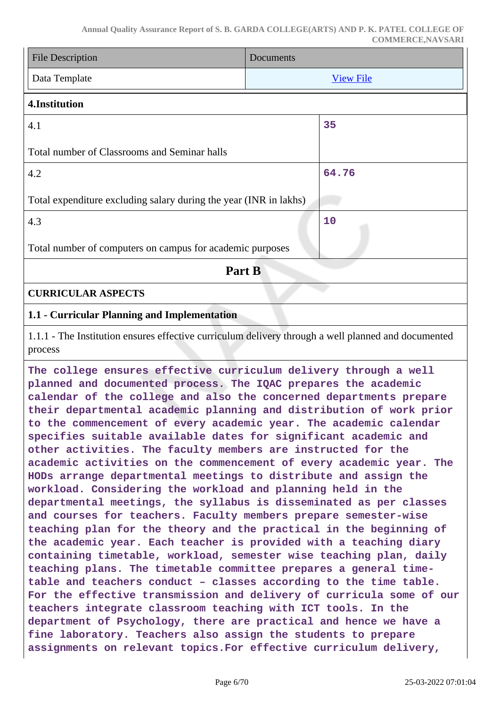| <b>File Description</b>                                                                                                                                                                                                                                                                                                                                                                                                                                                                                                                                                                                                                                                                                                                                                                                                                   | <b>Documents</b> |  |
|-------------------------------------------------------------------------------------------------------------------------------------------------------------------------------------------------------------------------------------------------------------------------------------------------------------------------------------------------------------------------------------------------------------------------------------------------------------------------------------------------------------------------------------------------------------------------------------------------------------------------------------------------------------------------------------------------------------------------------------------------------------------------------------------------------------------------------------------|------------------|--|
| Data Template                                                                                                                                                                                                                                                                                                                                                                                                                                                                                                                                                                                                                                                                                                                                                                                                                             | <b>View File</b> |  |
| 4.Institution                                                                                                                                                                                                                                                                                                                                                                                                                                                                                                                                                                                                                                                                                                                                                                                                                             |                  |  |
| 4.1                                                                                                                                                                                                                                                                                                                                                                                                                                                                                                                                                                                                                                                                                                                                                                                                                                       | 35               |  |
| Total number of Classrooms and Seminar halls                                                                                                                                                                                                                                                                                                                                                                                                                                                                                                                                                                                                                                                                                                                                                                                              |                  |  |
| 4.2                                                                                                                                                                                                                                                                                                                                                                                                                                                                                                                                                                                                                                                                                                                                                                                                                                       | 64.76            |  |
| Total expenditure excluding salary during the year (INR in lakhs)                                                                                                                                                                                                                                                                                                                                                                                                                                                                                                                                                                                                                                                                                                                                                                         |                  |  |
| 4.3                                                                                                                                                                                                                                                                                                                                                                                                                                                                                                                                                                                                                                                                                                                                                                                                                                       | 10               |  |
| Total number of computers on campus for academic purposes                                                                                                                                                                                                                                                                                                                                                                                                                                                                                                                                                                                                                                                                                                                                                                                 |                  |  |
| Part B                                                                                                                                                                                                                                                                                                                                                                                                                                                                                                                                                                                                                                                                                                                                                                                                                                    |                  |  |
| <b>CURRICULAR ASPECTS</b>                                                                                                                                                                                                                                                                                                                                                                                                                                                                                                                                                                                                                                                                                                                                                                                                                 |                  |  |
| 1.1 - Curricular Planning and Implementation                                                                                                                                                                                                                                                                                                                                                                                                                                                                                                                                                                                                                                                                                                                                                                                              |                  |  |
| 1.1.1 - The Institution ensures effective curriculum delivery through a well planned and documented<br>process                                                                                                                                                                                                                                                                                                                                                                                                                                                                                                                                                                                                                                                                                                                            |                  |  |
| The college ensures effective curriculum delivery through a well<br>planned and documented process. The IQAC prepares the academic<br>calendar of the college and also the concerned departments prepare<br>their departmental academic planning and distribution of work prior<br>to the commencement of every academic year. The academic calendar<br>specifies suitable available dates for significant academic and<br>other activities. The faculty members are instructed for the<br>academic activities on the commencement of every academic year. The<br>HODs arrange departmental meetings to distribute and assign the<br>workload. Considering the workload and planning held in the<br>departmental meetings, the syllabus is disseminated as per classes<br>and courses for teachers. Faculty members prepare semester-wise |                  |  |

**assignments on relevant topics.For effective curriculum delivery,**

**department of Psychology, there are practical and hence we have a**

**For the effective transmission and delivery of curricula some of our**

**teaching plan for the theory and the practical in the beginning of the academic year. Each teacher is provided with a teaching diary containing timetable, workload, semester wise teaching plan, daily teaching plans. The timetable committee prepares a general timetable and teachers conduct – classes according to the time table.**

**teachers integrate classroom teaching with ICT tools. In the**

**fine laboratory. Teachers also assign the students to prepare**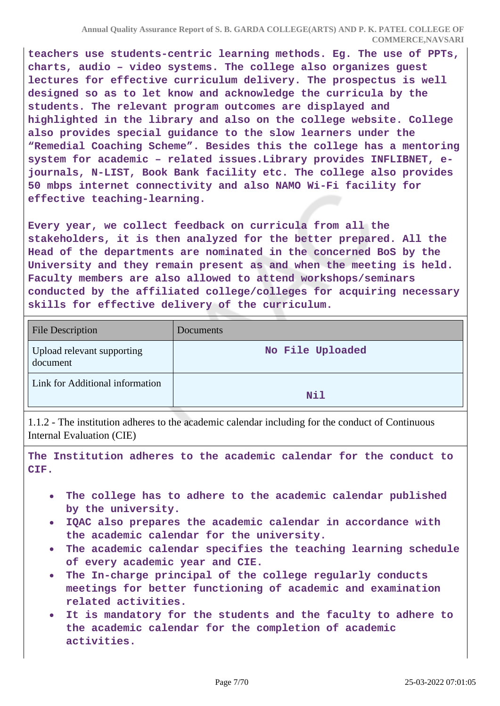**teachers use students-centric learning methods. Eg. The use of PPTs, charts, audio – video systems. The college also organizes guest lectures for effective curriculum delivery. The prospectus is well designed so as to let know and acknowledge the curricula by the students. The relevant program outcomes are displayed and highlighted in the library and also on the college website. College also provides special guidance to the slow learners under the "Remedial Coaching Scheme". Besides this the college has a mentoring system for academic – related issues.Library provides INFLIBNET, ejournals, N-LIST, Book Bank facility etc. The college also provides 50 mbps internet connectivity and also NAMO Wi-Fi facility for effective teaching-learning.**

**Every year, we collect feedback on curricula from all the stakeholders, it is then analyzed for the better prepared. All the Head of the departments are nominated in the concerned BoS by the University and they remain present as and when the meeting is held. Faculty members are also allowed to attend workshops/seminars conducted by the affiliated college/colleges for acquiring necessary skills for effective delivery of the curriculum.**

| <b>File Description</b>                | Documents        |
|----------------------------------------|------------------|
| Upload relevant supporting<br>document | No File Uploaded |
| Link for Additional information        | <b>Nil</b>       |

1.1.2 - The institution adheres to the academic calendar including for the conduct of Continuous Internal Evaluation (CIE)

**The Institution adheres to the academic calendar for the conduct to CIF.**

- **The college has to adhere to the academic calendar published by the university.**
- **IQAC also prepares the academic calendar in accordance with the academic calendar for the university.**
- **The academic calendar specifies the teaching learning schedule of every academic year and CIE.**
- **The In-charge principal of the college regularly conducts meetings for better functioning of academic and examination related activities.**
- **It is mandatory for the students and the faculty to adhere to**  $\bullet$ **the academic calendar for the completion of academic activities.**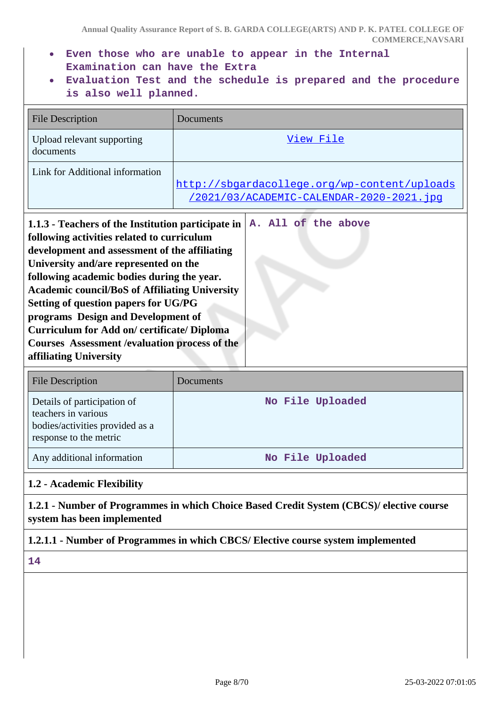- **Even those who are unable to appear in the Internal Examination can have the Extra**
- **Evaluation Test and the schedule is prepared and the procedure**  $\bullet$ **is also well planned.**

| <b>File Description</b>                                                                                                                                                                                                                                                                                                                                                                                                                                                                                                         | Documents                                                                                |  |
|---------------------------------------------------------------------------------------------------------------------------------------------------------------------------------------------------------------------------------------------------------------------------------------------------------------------------------------------------------------------------------------------------------------------------------------------------------------------------------------------------------------------------------|------------------------------------------------------------------------------------------|--|
| Upload relevant supporting<br>documents                                                                                                                                                                                                                                                                                                                                                                                                                                                                                         | View File                                                                                |  |
| Link for Additional information                                                                                                                                                                                                                                                                                                                                                                                                                                                                                                 | http://sbgardacollege.org/wp-content/uploads<br>/2021/03/ACADEMIC-CALENDAR-2020-2021.jpq |  |
| 1.1.3 - Teachers of the Institution participate in<br>following activities related to curriculum<br>development and assessment of the affiliating<br>University and/are represented on the<br>following academic bodies during the year.<br><b>Academic council/BoS of Affiliating University</b><br><b>Setting of question papers for UG/PG</b><br>programs Design and Development of<br><b>Curriculum for Add on/ certificate/ Diploma</b><br><b>Courses Assessment / evaluation process of the</b><br>affiliating University | A. All of the above                                                                      |  |
| <b>File Description</b>                                                                                                                                                                                                                                                                                                                                                                                                                                                                                                         | Documents                                                                                |  |
| Details of participation of<br>teachers in various<br>bodies/activities provided as a<br>response to the metric                                                                                                                                                                                                                                                                                                                                                                                                                 | No File Uploaded                                                                         |  |

Any additional information **No File Uploaded** 

**1.2 - Academic Flexibility**

**1.2.1 - Number of Programmes in which Choice Based Credit System (CBCS)/ elective course system has been implemented**

# **1.2.1.1 - Number of Programmes in which CBCS/ Elective course system implemented**

**14**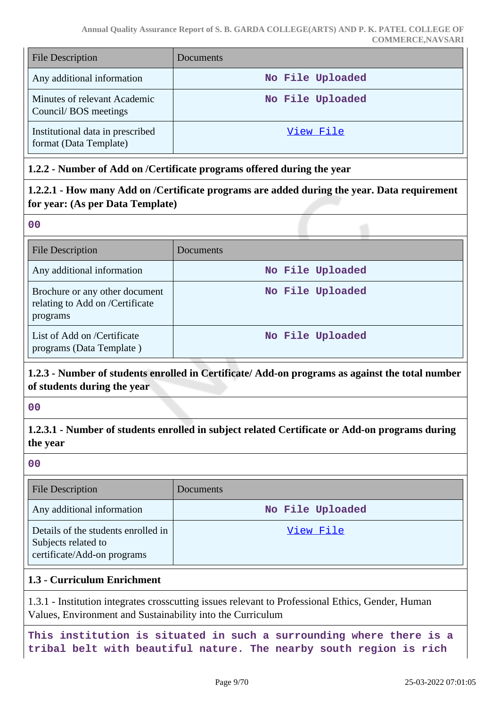| <b>File Description</b>                                    | Documents        |
|------------------------------------------------------------|------------------|
| Any additional information                                 | No File Uploaded |
| Minutes of relevant Academic<br>Council/BOS meetings       | No File Uploaded |
| Institutional data in prescribed<br>format (Data Template) | View File        |

# **1.2.2 - Number of Add on /Certificate programs offered during the year**

# **1.2.2.1 - How many Add on /Certificate programs are added during the year. Data requirement for year: (As per Data Template)**

**00**

| <b>File Description</b>                                                       | Documents        |
|-------------------------------------------------------------------------------|------------------|
| Any additional information                                                    | No File Uploaded |
| Brochure or any other document<br>relating to Add on /Certificate<br>programs | No File Uploaded |
| List of Add on /Certificate<br>programs (Data Template)                       | No File Uploaded |

# **1.2.3 - Number of students enrolled in Certificate/ Add-on programs as against the total number of students during the year**

**00**

**1.2.3.1 - Number of students enrolled in subject related Certificate or Add-on programs during the year**

**00**

| <b>File Description</b>                                                                   | Documents        |
|-------------------------------------------------------------------------------------------|------------------|
| Any additional information                                                                | No File Uploaded |
| Details of the students enrolled in<br>Subjects related to<br>certificate/Add-on programs | View File        |

#### **1.3 - Curriculum Enrichment**

1.3.1 - Institution integrates crosscutting issues relevant to Professional Ethics, Gender, Human Values, Environment and Sustainability into the Curriculum

**This institution is situated in such a surrounding where there is a tribal belt with beautiful nature. The nearby south region is rich**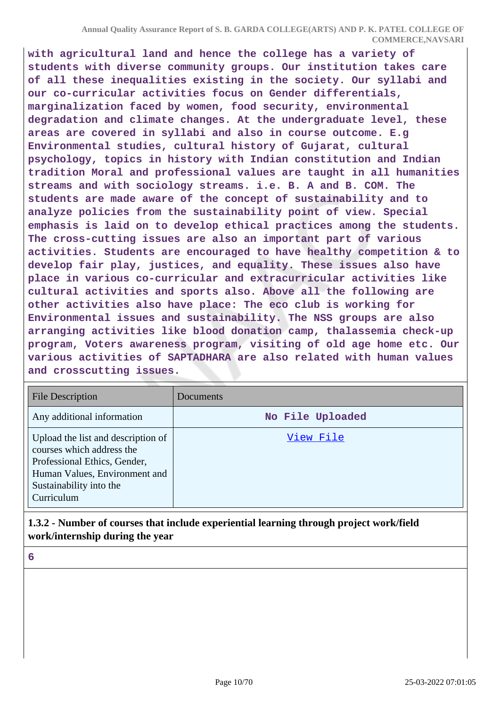**with agricultural land and hence the college has a variety of students with diverse community groups. Our institution takes care of all these inequalities existing in the society. Our syllabi and our co-curricular activities focus on Gender differentials, marginalization faced by women, food security, environmental degradation and climate changes. At the undergraduate level, these areas are covered in syllabi and also in course outcome. E.g Environmental studies, cultural history of Gujarat, cultural psychology, topics in history with Indian constitution and Indian tradition Moral and professional values are taught in all humanities streams and with sociology streams. i.e. B. A and B. COM. The students are made aware of the concept of sustainability and to analyze policies from the sustainability point of view. Special emphasis is laid on to develop ethical practices among the students. The cross-cutting issues are also an important part of various activities. Students are encouraged to have healthy competition & to develop fair play, justices, and equality. These issues also have place in various co-curricular and extracurricular activities like cultural activities and sports also. Above all the following are other activities also have place: The eco club is working for Environmental issues and sustainability. The NSS groups are also arranging activities like blood donation camp, thalassemia check-up program, Voters awareness program, visiting of old age home etc. Our various activities of SAPTADHARA are also related with human values and crosscutting issues.**

| <b>File Description</b>                                                                                                                                                   | Documents        |
|---------------------------------------------------------------------------------------------------------------------------------------------------------------------------|------------------|
| Any additional information                                                                                                                                                | No File Uploaded |
| Upload the list and description of<br>courses which address the<br>Professional Ethics, Gender,<br>Human Values, Environment and<br>Sustainability into the<br>Curriculum | View File        |

# **1.3.2 - Number of courses that include experiential learning through project work/field work/internship during the year**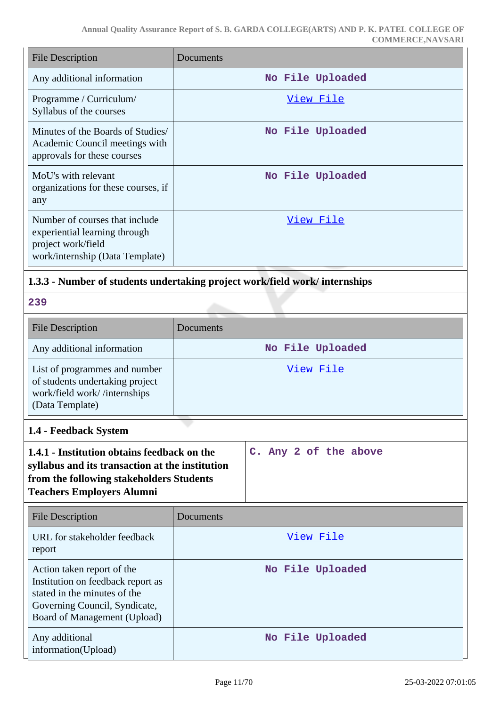| <b>File Description</b>                                                                                                  | Documents        |
|--------------------------------------------------------------------------------------------------------------------------|------------------|
| Any additional information                                                                                               | No File Uploaded |
| Programme / Curriculum/<br>Syllabus of the courses                                                                       | View File        |
| Minutes of the Boards of Studies/<br>Academic Council meetings with<br>approvals for these courses                       | No File Uploaded |
| MoU's with relevant<br>organizations for these courses, if<br>any                                                        | No File Uploaded |
| Number of courses that include<br>experiential learning through<br>project work/field<br>work/internship (Data Template) | View File        |

# **1.3.3 - Number of students undertaking project work/field work/ internships**

| - 1<br>٧ | ۰. |
|----------|----|

| <b>File Description</b>                                                                                             | Documents        |
|---------------------------------------------------------------------------------------------------------------------|------------------|
| Any additional information                                                                                          | No File Uploaded |
| List of programmes and number<br>of students undertaking project<br>work/field work//internships<br>(Data Template) | View File        |

# **1.4 - Feedback System**

| 1.4.1 - Institution obtains feedback on the     |  |  | C. Any 2 of the above |  |  |
|-------------------------------------------------|--|--|-----------------------|--|--|
| syllabus and its transaction at the institution |  |  |                       |  |  |
| from the following stakeholders Students        |  |  |                       |  |  |
| <b>Teachers Employers Alumni</b>                |  |  |                       |  |  |
|                                                 |  |  |                       |  |  |

| File Description                                                                                                                                                 | Documents        |
|------------------------------------------------------------------------------------------------------------------------------------------------------------------|------------------|
| URL for stakeholder feedback<br>report                                                                                                                           | View File        |
| Action taken report of the<br>Institution on feedback report as<br>stated in the minutes of the<br>Governing Council, Syndicate,<br>Board of Management (Upload) | No File Uploaded |
| Any additional<br>information(Upload)                                                                                                                            | No File Uploaded |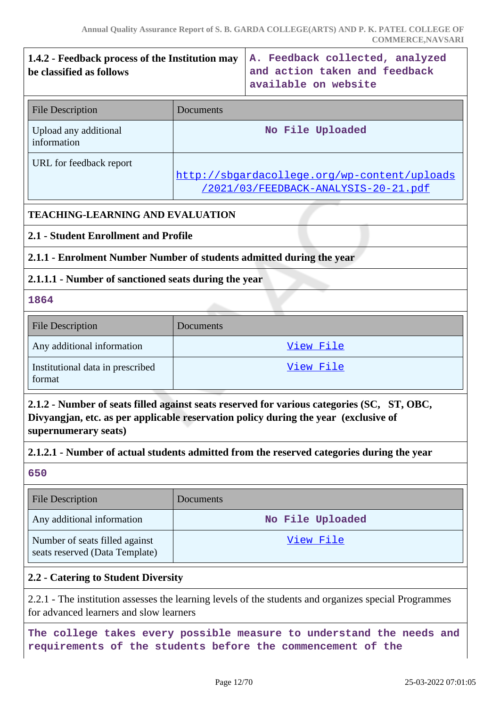# **1.4.2 - Feedback process of the Institution may be classified as follows**

**A. Feedback collected, analyzed and action taken and feedback available on website**

| <b>File Description</b>              | Documents                                                                            |
|--------------------------------------|--------------------------------------------------------------------------------------|
| Upload any additional<br>information | No File Uploaded                                                                     |
| URL for feedback report              | http://sbgardacollege.org/wp-content/uploads<br>/2021/03/FEEDBACK-ANALYSIS-20-21.pdf |

# **TEACHING-LEARNING AND EVALUATION**

# **2.1 - Student Enrollment and Profile**

# **2.1.1 - Enrolment Number Number of students admitted during the year**

# **2.1.1.1 - Number of sanctioned seats during the year**

#### **1864**

| <b>File Description</b>                    | <b>Documents</b> |
|--------------------------------------------|------------------|
| Any additional information                 | View File        |
| Institutional data in prescribed<br>format | View File        |

**2.1.2 - Number of seats filled against seats reserved for various categories (SC, ST, OBC, Divyangjan, etc. as per applicable reservation policy during the year (exclusive of supernumerary seats)**

# **2.1.2.1 - Number of actual students admitted from the reserved categories during the year**

# **650**

| <b>File Description</b>                                          | <b>Documents</b> |
|------------------------------------------------------------------|------------------|
| Any additional information                                       | No File Uploaded |
| Number of seats filled against<br>seats reserved (Data Template) | View File        |

# **2.2 - Catering to Student Diversity**

2.2.1 - The institution assesses the learning levels of the students and organizes special Programmes for advanced learners and slow learners

**The college takes every possible measure to understand the needs and requirements of the students before the commencement of the**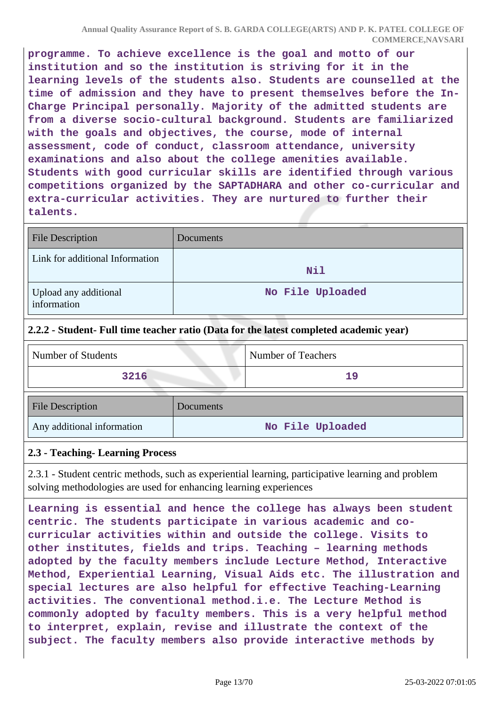**programme. To achieve excellence is the goal and motto of our institution and so the institution is striving for it in the learning levels of the students also. Students are counselled at the time of admission and they have to present themselves before the In-Charge Principal personally. Majority of the admitted students are from a diverse socio-cultural background. Students are familiarized with the goals and objectives, the course, mode of internal assessment, code of conduct, classroom attendance, university examinations and also about the college amenities available. Students with good curricular skills are identified through various competitions organized by the SAPTADHARA and other co-curricular and extra-curricular activities. They are nurtured to further their talents.**

| <b>File Description</b>              | Documents        |
|--------------------------------------|------------------|
| Link for additional Information      | Nil              |
| Upload any additional<br>information | No File Uploaded |

# **2.2.2 - Student- Full time teacher ratio (Data for the latest completed academic year)**

Any additional information **No File Uploaded**

| Number of Students      |           | Number of Teachers |
|-------------------------|-----------|--------------------|
| 3216                    |           | 19                 |
| <b>File Description</b> | Documents |                    |

#### **2.3 - Teaching- Learning Process**

2.3.1 - Student centric methods, such as experiential learning, participative learning and problem solving methodologies are used for enhancing learning experiences

**Learning is essential and hence the college has always been student centric. The students participate in various academic and cocurricular activities within and outside the college. Visits to other institutes, fields and trips. Teaching – learning methods adopted by the faculty members include Lecture Method, Interactive Method, Experiential Learning, Visual Aids etc. The illustration and special lectures are also helpful for effective Teaching-Learning activities. The conventional method.i.e. The Lecture Method is commonly adopted by faculty members. This is a very helpful method to interpret, explain, revise and illustrate the context of the subject. The faculty members also provide interactive methods by**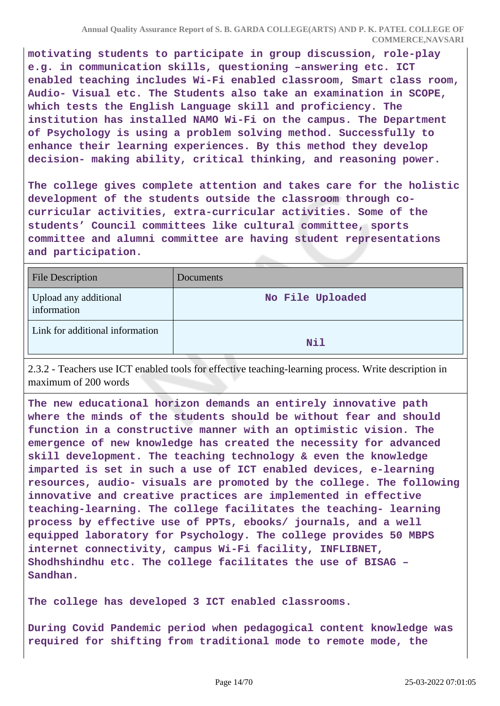**motivating students to participate in group discussion, role-play e.g. in communication skills, questioning –answering etc. ICT enabled teaching includes Wi-Fi enabled classroom, Smart class room, Audio- Visual etc. The Students also take an examination in SCOPE, which tests the English Language skill and proficiency. The institution has installed NAMO Wi-Fi on the campus. The Department of Psychology is using a problem solving method. Successfully to enhance their learning experiences. By this method they develop decision- making ability, critical thinking, and reasoning power.**

**The college gives complete attention and takes care for the holistic development of the students outside the classroom through cocurricular activities, extra-curricular activities. Some of the students' Council committees like cultural committee, sports committee and alumni committee are having student representations and participation.**

| <b>File Description</b>              | Documents        |
|--------------------------------------|------------------|
| Upload any additional<br>information | No File Uploaded |
| Link for additional information      | Nil              |

2.3.2 - Teachers use ICT enabled tools for effective teaching-learning process. Write description in maximum of 200 words

**The new educational horizon demands an entirely innovative path where the minds of the students should be without fear and should function in a constructive manner with an optimistic vision. The emergence of new knowledge has created the necessity for advanced skill development. The teaching technology & even the knowledge imparted is set in such a use of ICT enabled devices, e-learning resources, audio- visuals are promoted by the college. The following innovative and creative practices are implemented in effective teaching-learning. The college facilitates the teaching- learning process by effective use of PPTs, ebooks/ journals, and a well equipped laboratory for Psychology. The college provides 50 MBPS internet connectivity, campus Wi-Fi facility, INFLIBNET, Shodhshindhu etc. The college facilitates the use of BISAG – Sandhan.**

**The college has developed 3 ICT enabled classrooms.**

**During Covid Pandemic period when pedagogical content knowledge was required for shifting from traditional mode to remote mode, the**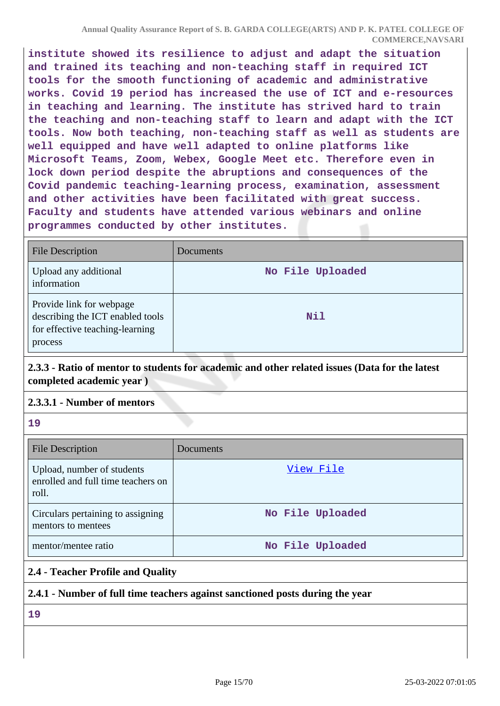**institute showed its resilience to adjust and adapt the situation and trained its teaching and non-teaching staff in required ICT tools for the smooth functioning of academic and administrative works. Covid 19 period has increased the use of ICT and e-resources in teaching and learning. The institute has strived hard to train the teaching and non-teaching staff to learn and adapt with the ICT tools. Now both teaching, non-teaching staff as well as students are well equipped and have well adapted to online platforms like Microsoft Teams, Zoom, Webex, Google Meet etc. Therefore even in lock down period despite the abruptions and consequences of the Covid pandemic teaching-learning process, examination, assessment and other activities have been facilitated with great success. Faculty and students have attended various webinars and online programmes conducted by other institutes.**

| <b>File Description</b>                                                                                    | Documents        |
|------------------------------------------------------------------------------------------------------------|------------------|
| Upload any additional<br>information                                                                       | No File Uploaded |
| Provide link for webpage<br>describing the ICT enabled tools<br>for effective teaching-learning<br>process | Nil              |

**2.3.3 - Ratio of mentor to students for academic and other related issues (Data for the latest completed academic year )**

# **2.3.3.1 - Number of mentors**

**19**

| <b>File Description</b>                                                   | <b>Documents</b> |
|---------------------------------------------------------------------------|------------------|
| Upload, number of students<br>enrolled and full time teachers on<br>roll. | View File        |
| Circulars pertaining to assigning<br>mentors to mentees                   | No File Uploaded |
| mentor/mentee ratio                                                       | No File Uploaded |

# **2.4 - Teacher Profile and Quality**

# **2.4.1 - Number of full time teachers against sanctioned posts during the year**

**19**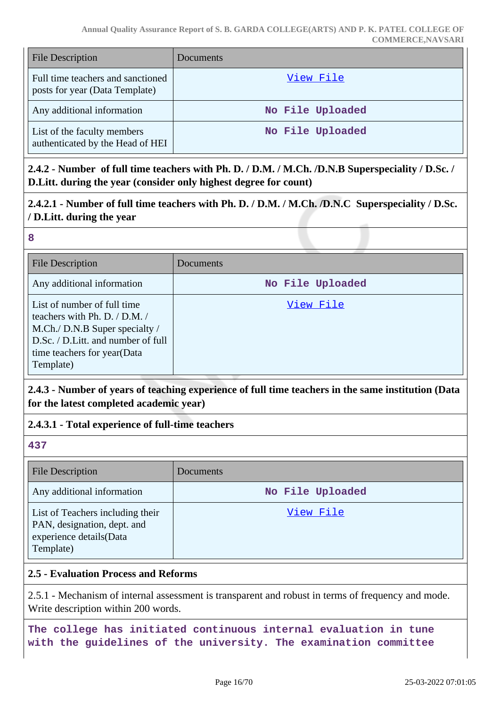| <b>File Description</b>                                             | Documents        |
|---------------------------------------------------------------------|------------------|
| Full time teachers and sanctioned<br>posts for year (Data Template) | View File        |
| Any additional information                                          | No File Uploaded |
| List of the faculty members<br>authenticated by the Head of HEI     | No File Uploaded |

**2.4.2 - Number of full time teachers with Ph. D. / D.M. / M.Ch. /D.N.B Superspeciality / D.Sc. / D.Litt. during the year (consider only highest degree for count)**

**2.4.2.1 - Number of full time teachers with Ph. D. / D.M. / M.Ch. /D.N.C Superspeciality / D.Sc. / D.Litt. during the year**

#### **8**

| <b>File Description</b>                                                                                                                                                          | Documents        |
|----------------------------------------------------------------------------------------------------------------------------------------------------------------------------------|------------------|
| Any additional information                                                                                                                                                       | No File Uploaded |
| List of number of full time<br>teachers with Ph. D. / D.M. /<br>M.Ch./ D.N.B Super specialty /<br>D.Sc. / D.Litt. and number of full<br>time teachers for year(Data<br>Template) | View File        |

**2.4.3 - Number of years of teaching experience of full time teachers in the same institution (Data for the latest completed academic year)**

**2.4.3.1 - Total experience of full-time teachers**

#### **437**

| <b>File Description</b>                                                                                 | Documents        |
|---------------------------------------------------------------------------------------------------------|------------------|
| Any additional information                                                                              | No File Uploaded |
| List of Teachers including their<br>PAN, designation, dept. and<br>experience details(Data<br>Template) | View File        |

# **2.5 - Evaluation Process and Reforms**

2.5.1 - Mechanism of internal assessment is transparent and robust in terms of frequency and mode. Write description within 200 words.

**The college has initiated continuous internal evaluation in tune with the guidelines of the university. The examination committee**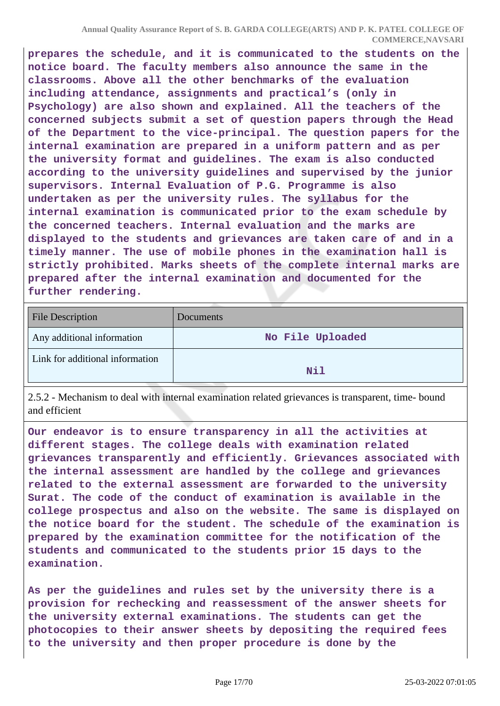**prepares the schedule, and it is communicated to the students on the notice board. The faculty members also announce the same in the classrooms. Above all the other benchmarks of the evaluation including attendance, assignments and practical's (only in Psychology) are also shown and explained. All the teachers of the concerned subjects submit a set of question papers through the Head of the Department to the vice-principal. The question papers for the internal examination are prepared in a uniform pattern and as per the university format and guidelines. The exam is also conducted according to the university guidelines and supervised by the junior supervisors. Internal Evaluation of P.G. Programme is also undertaken as per the university rules. The syllabus for the internal examination is communicated prior to the exam schedule by the concerned teachers. Internal evaluation and the marks are displayed to the students and grievances are taken care of and in a timely manner. The use of mobile phones in the examination hall is strictly prohibited. Marks sheets of the complete internal marks are prepared after the internal examination and documented for the further rendering.**

| <b>File Description</b>         | <b>Documents</b> |
|---------------------------------|------------------|
| Any additional information      | No File Uploaded |
| Link for additional information | Nil              |

2.5.2 - Mechanism to deal with internal examination related grievances is transparent, time- bound and efficient

**Our endeavor is to ensure transparency in all the activities at different stages. The college deals with examination related grievances transparently and efficiently. Grievances associated with the internal assessment are handled by the college and grievances related to the external assessment are forwarded to the university Surat. The code of the conduct of examination is available in the college prospectus and also on the website. The same is displayed on the notice board for the student. The schedule of the examination is prepared by the examination committee for the notification of the students and communicated to the students prior 15 days to the examination.**

**As per the guidelines and rules set by the university there is a provision for rechecking and reassessment of the answer sheets for the university external examinations. The students can get the photocopies to their answer sheets by depositing the required fees to the university and then proper procedure is done by the**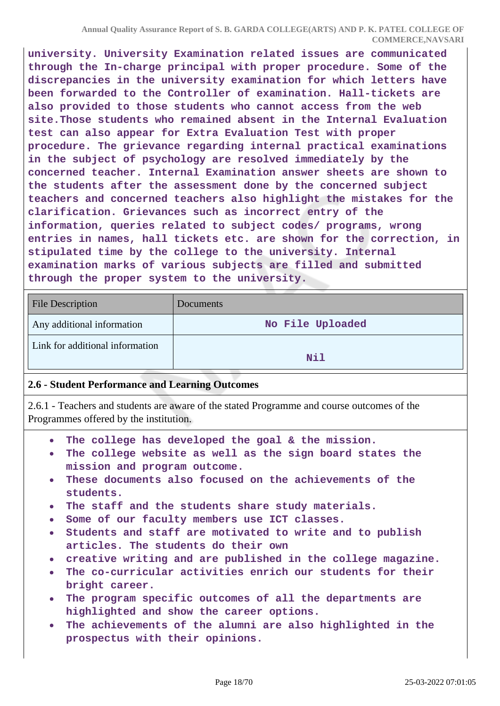**university. University Examination related issues are communicated through the In-charge principal with proper procedure. Some of the discrepancies in the university examination for which letters have been forwarded to the Controller of examination. Hall-tickets are also provided to those students who cannot access from the web site.Those students who remained absent in the Internal Evaluation test can also appear for Extra Evaluation Test with proper procedure. The grievance regarding internal practical examinations in the subject of psychology are resolved immediately by the concerned teacher. Internal Examination answer sheets are shown to the students after the assessment done by the concerned subject teachers and concerned teachers also highlight the mistakes for the clarification. Grievances such as incorrect entry of the information, queries related to subject codes/ programs, wrong entries in names, hall tickets etc. are shown for the correction, in stipulated time by the college to the university. Internal examination marks of various subjects are filled and submitted through the proper system to the university.**

| <b>File Description</b>                                                                                                              | Documents        |
|--------------------------------------------------------------------------------------------------------------------------------------|------------------|
| Any additional information                                                                                                           | No File Uploaded |
| Link for additional information                                                                                                      | Nil              |
| 2.6 - Student Performance and Learning Outcomes                                                                                      |                  |
| 2.6.1 - Teachers and students are aware of the stated Programme and course outcomes of the<br>Programmes offered by the institution. |                  |

- **The college has developed the goal & the mission.**
- **The college website as well as the sign board states the mission and program outcome.**
- **These documents also focused on the achievements of the students.**
- **The staff and the students share study materials.**
- **Some of our faculty members use ICT classes.**
- **Students and staff are motivated to write and to publish articles. The students do their own**
- **creative writing and are published in the college magazine.**
- **The co-curricular activities enrich our students for their bright career.**
- **The program specific outcomes of all the departments are highlighted and show the career options.**
- **The achievements of the alumni are also highlighted in the prospectus with their opinions.**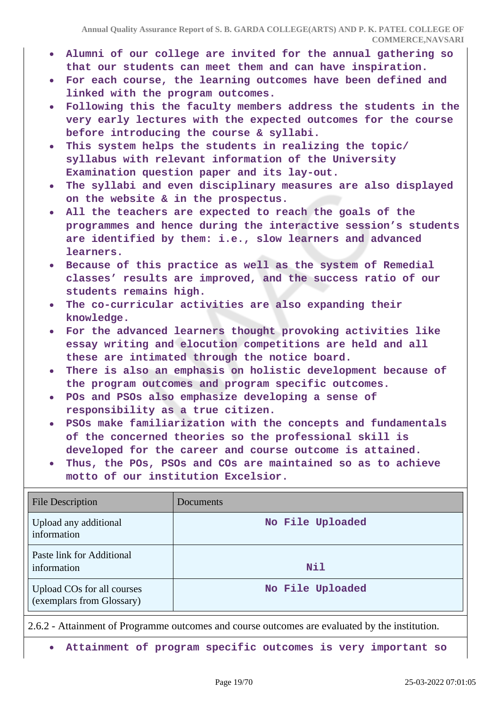- **Alumni of our college are invited for the annual gathering so that our students can meet them and can have inspiration.**
- **For each course, the learning outcomes have been defined and linked with the program outcomes.**
- **Following this the faculty members address the students in the very early lectures with the expected outcomes for the course before introducing the course & syllabi.**
- **This system helps the students in realizing the topic/ syllabus with relevant information of the University Examination question paper and its lay-out.**
- **The syllabi and even disciplinary measures are also displayed on the website & in the prospectus.**
- **All the teachers are expected to reach the goals of the programmes and hence during the interactive session's students are identified by them: i.e., slow learners and advanced learners.**
- **Because of this practice as well as the system of Remedial classes' results are improved, and the success ratio of our students remains high.**
- **The co-curricular activities are also expanding their**  $\bullet$ **knowledge.**
- **For the advanced learners thought provoking activities like essay writing and elocution competitions are held and all these are intimated through the notice board.**
- **There is also an emphasis on holistic development because of the program outcomes and program specific outcomes.**
- **POs and PSOs also emphasize developing a sense of responsibility as a true citizen.**
- **PSOs make familiarization with the concepts and fundamentals of the concerned theories so the professional skill is developed for the career and course outcome is attained.**
- **Thus, the POs, PSOs and COs are maintained so as to achieve motto of our institution Excelsior.**

| <b>File Description</b>                                 | Documents        |
|---------------------------------------------------------|------------------|
| Upload any additional<br>information                    | No File Uploaded |
| Paste link for Additional<br>information                | Nil              |
| Upload COs for all courses<br>(exemplars from Glossary) | No File Uploaded |

2.6.2 - Attainment of Programme outcomes and course outcomes are evaluated by the institution.

**Attainment of program specific outcomes is very important so**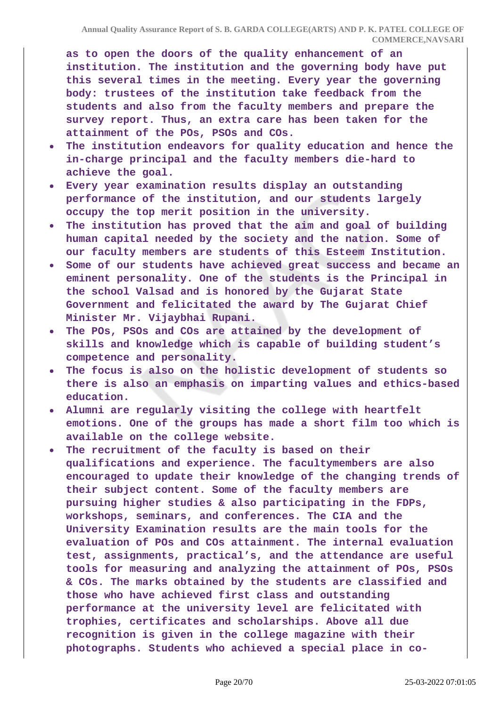**as to open the doors of the quality enhancement of an institution. The institution and the governing body have put this several times in the meeting. Every year the governing body: trustees of the institution take feedback from the students and also from the faculty members and prepare the survey report. Thus, an extra care has been taken for the attainment of the POs, PSOs and COs.**

- $\bullet$ **The institution endeavors for quality education and hence the in-charge principal and the faculty members die-hard to achieve the goal.**
- **Every year examination results display an outstanding performance of the institution, and our students largely occupy the top merit position in the university.**
- **The institution has proved that the aim and goal of building human capital needed by the society and the nation. Some of our faculty members are students of this Esteem Institution.**
- **Some of our students have achieved great success and became an eminent personality. One of the students is the Principal in the school Valsad and is honored by the Gujarat State Government and felicitated the award by The Gujarat Chief Minister Mr. Vijaybhai Rupani.**
- **The POs, PSOs and COs are attained by the development of skills and knowledge which is capable of building student's competence and personality.**
- **The focus is also on the holistic development of students so there is also an emphasis on imparting values and ethics-based education.**
- **Alumni are regularly visiting the college with heartfelt emotions. One of the groups has made a short film too which is available on the college website.**
- **The recruitment of the faculty is based on their qualifications and experience. The facultymembers are also encouraged to update their knowledge of the changing trends of their subject content. Some of the faculty members are pursuing higher studies & also participating in the FDPs, workshops, seminars, and conferences. The CIA and the University Examination results are the main tools for the evaluation of POs and COs attainment. The internal evaluation test, assignments, practical's, and the attendance are useful tools for measuring and analyzing the attainment of POs, PSOs & COs. The marks obtained by the students are classified and those who have achieved first class and outstanding performance at the university level are felicitated with trophies, certificates and scholarships. Above all due recognition is given in the college magazine with their photographs. Students who achieved a special place in co-**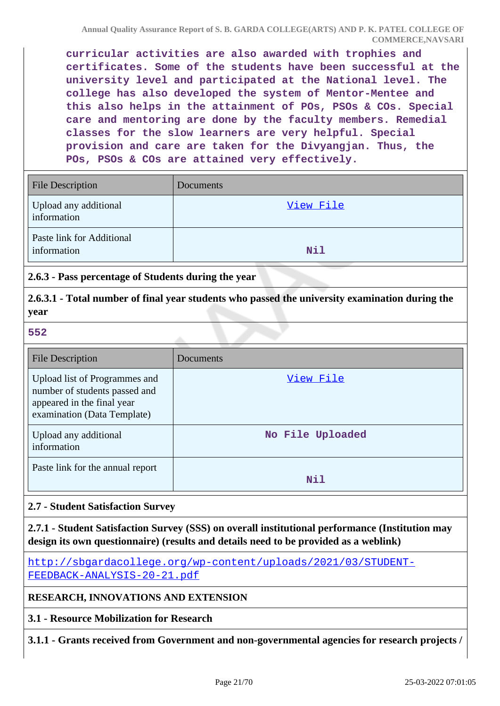**curricular activities are also awarded with trophies and certificates. Some of the students have been successful at the university level and participated at the National level. The college has also developed the system of Mentor-Mentee and this also helps in the attainment of POs, PSOs & COs. Special care and mentoring are done by the faculty members. Remedial classes for the slow learners are very helpful. Special provision and care are taken for the Divyangjan. Thus, the POs, PSOs & COs are attained very effectively.**

| <b>File Description</b>                  | Documents |
|------------------------------------------|-----------|
| Upload any additional<br>information     | View File |
| Paste link for Additional<br>information | Nil       |

# **2.6.3 - Pass percentage of Students during the year**

**2.6.3.1 - Total number of final year students who passed the university examination during the year**

#### **552**

| <b>File Description</b>                                                                                                     | Documents        |
|-----------------------------------------------------------------------------------------------------------------------------|------------------|
| Upload list of Programmes and<br>number of students passed and<br>appeared in the final year<br>examination (Data Template) | View File        |
| Upload any additional<br>information                                                                                        | No File Uploaded |
| Paste link for the annual report                                                                                            | Nil              |

#### **2.7 - Student Satisfaction Survey**

**2.7.1 - Student Satisfaction Survey (SSS) on overall institutional performance (Institution may design its own questionnaire) (results and details need to be provided as a weblink)**

[http://sbgardacollege.org/wp-content/uploads/2021/03/STUDENT-](http://sbgardacollege.org/wp-content/uploads/2021/03/STUDENT-FEEDBACK-ANALYSIS-20-21.pdf)[FEEDBACK-ANALYSIS-20-21.pdf](http://sbgardacollege.org/wp-content/uploads/2021/03/STUDENT-FEEDBACK-ANALYSIS-20-21.pdf)

# **RESEARCH, INNOVATIONS AND EXTENSION**

**3.1 - Resource Mobilization for Research**

**3.1.1 - Grants received from Government and non-governmental agencies for research projects /**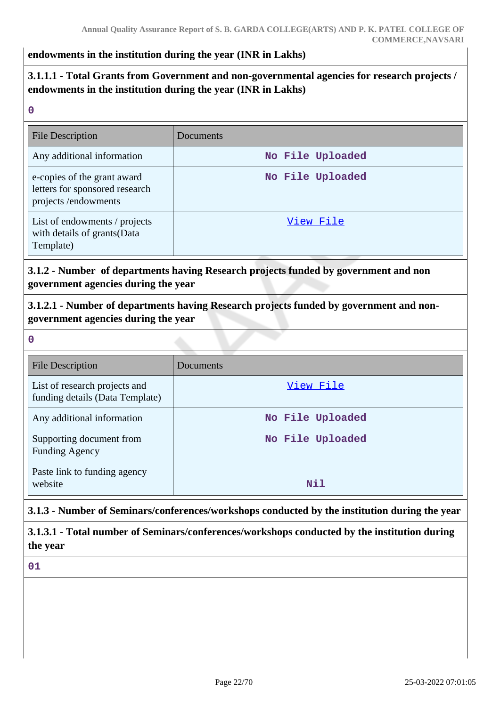#### **endowments in the institution during the year (INR in Lakhs)**

# **3.1.1.1 - Total Grants from Government and non-governmental agencies for research projects / endowments in the institution during the year (INR in Lakhs)**

| $\mathbf 0$                                                                          |                  |
|--------------------------------------------------------------------------------------|------------------|
| <b>File Description</b>                                                              | Documents        |
| Any additional information                                                           | No File Uploaded |
| e-copies of the grant award<br>letters for sponsored research<br>projects/endowments | No File Uploaded |
| List of endowments / projects<br>with details of grants (Data<br>Template)           | View File        |

# **3.1.2 - Number of departments having Research projects funded by government and non government agencies during the year**

**3.1.2.1 - Number of departments having Research projects funded by government and nongovernment agencies during the year**

**0**

| <b>File Description</b>                                          | Documents        |
|------------------------------------------------------------------|------------------|
| List of research projects and<br>funding details (Data Template) | View File        |
| Any additional information                                       | No File Uploaded |
| Supporting document from<br><b>Funding Agency</b>                | No File Uploaded |
| Paste link to funding agency<br>website                          | Nil              |

# **3.1.3 - Number of Seminars/conferences/workshops conducted by the institution during the year**

**3.1.3.1 - Total number of Seminars/conferences/workshops conducted by the institution during the year**

**01**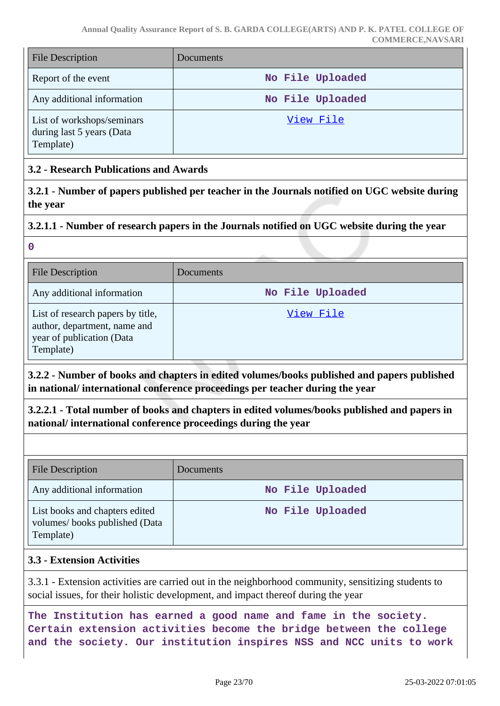| <b>File Description</b>                                              | Documents        |
|----------------------------------------------------------------------|------------------|
| Report of the event                                                  | No File Uploaded |
| Any additional information                                           | No File Uploaded |
| List of workshops/seminars<br>during last 5 years (Data<br>Template) | View File        |

# **3.2 - Research Publications and Awards**

**0**

**3.2.1 - Number of papers published per teacher in the Journals notified on UGC website during the year**

# **3.2.1.1 - Number of research papers in the Journals notified on UGC website during the year**

| <b>File Description</b>                                                                                     | <b>Documents</b> |
|-------------------------------------------------------------------------------------------------------------|------------------|
| Any additional information                                                                                  | No File Uploaded |
| List of research papers by title,<br>author, department, name and<br>year of publication (Data<br>Template) | View File        |

**3.2.2 - Number of books and chapters in edited volumes/books published and papers published in national/ international conference proceedings per teacher during the year**

**3.2.2.1 - Total number of books and chapters in edited volumes/books published and papers in national/ international conference proceedings during the year**

| <b>File Description</b>                                                      | <b>Documents</b> |
|------------------------------------------------------------------------------|------------------|
| Any additional information                                                   | No File Uploaded |
| List books and chapters edited<br>volumes/books published (Data<br>Template) | No File Uploaded |

# **3.3 - Extension Activities**

3.3.1 - Extension activities are carried out in the neighborhood community, sensitizing students to social issues, for their holistic development, and impact thereof during the year

**The Institution has earned a good name and fame in the society. Certain extension activities become the bridge between the college and the society. Our institution inspires NSS and NCC units to work**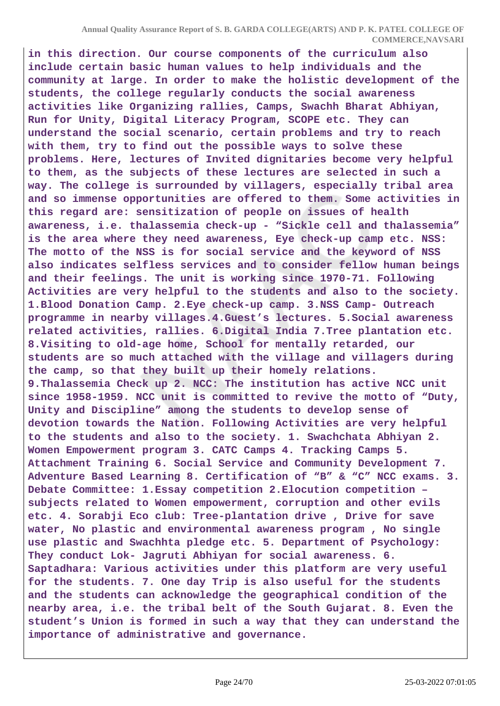**in this direction. Our course components of the curriculum also include certain basic human values to help individuals and the community at large. In order to make the holistic development of the students, the college regularly conducts the social awareness activities like Organizing rallies, Camps, Swachh Bharat Abhiyan, Run for Unity, Digital Literacy Program, SCOPE etc. They can understand the social scenario, certain problems and try to reach with them, try to find out the possible ways to solve these problems. Here, lectures of Invited dignitaries become very helpful to them, as the subjects of these lectures are selected in such a way. The college is surrounded by villagers, especially tribal area and so immense opportunities are offered to them. Some activities in this regard are: sensitization of people on issues of health awareness, i.e. thalassemia check-up - "Sickle cell and thalassemia" is the area where they need awareness, Eye check-up camp etc. NSS: The motto of the NSS is for social service and the keyword of NSS also indicates selfless services and to consider fellow human beings and their feelings. The unit is working since 1970-71. Following Activities are very helpful to the students and also to the society. 1.Blood Donation Camp. 2.Eye check-up camp. 3.NSS Camp- Outreach programme in nearby villages.4.Guest's lectures. 5.Social awareness related activities, rallies. 6.Digital India 7.Tree plantation etc. 8.Visiting to old-age home, School for mentally retarded, our students are so much attached with the village and villagers during the camp, so that they built up their homely relations. 9.Thalassemia Check up 2. NCC: The institution has active NCC unit since 1958-1959. NCC unit is committed to revive the motto of "Duty, Unity and Discipline" among the students to develop sense of devotion towards the Nation. Following Activities are very helpful to the students and also to the society. 1. Swachchata Abhiyan 2. Women Empowerment program 3. CATC Camps 4. Tracking Camps 5. Attachment Training 6. Social Service and Community Development 7. Adventure Based Learning 8. Certification of "B" & "C" NCC exams. 3. Debate Committee: 1.Essay competition 2.Elocution competition – subjects related to Women empowerment, corruption and other evils etc. 4. Sorabji Eco club: Tree-plantation drive , Drive for save water, No plastic and environmental awareness program , No single use plastic and Swachhta pledge etc. 5. Department of Psychology: They conduct Lok- Jagruti Abhiyan for social awareness. 6. Saptadhara: Various activities under this platform are very useful for the students. 7. One day Trip is also useful for the students and the students can acknowledge the geographical condition of the nearby area, i.e. the tribal belt of the South Gujarat. 8. Even the student's Union is formed in such a way that they can understand the importance of administrative and governance.**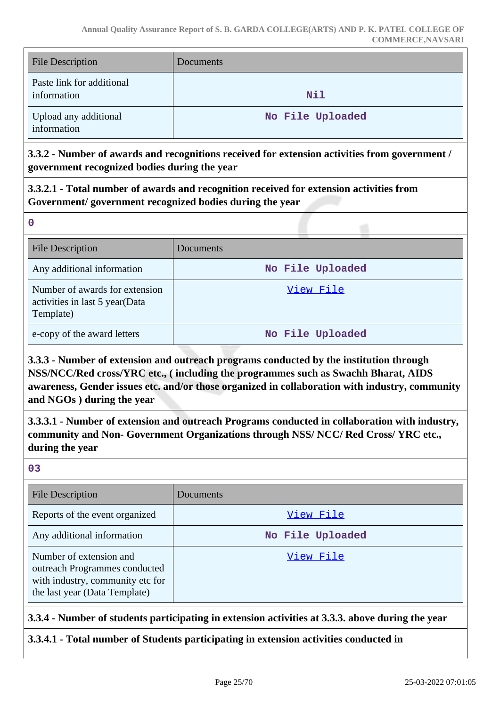| <b>File Description</b>                  | Documents        |
|------------------------------------------|------------------|
| Paste link for additional<br>information | Nil              |
| Upload any additional<br>information     | No File Uploaded |

**3.3.2 - Number of awards and recognitions received for extension activities from government / government recognized bodies during the year**

**3.3.2.1 - Total number of awards and recognition received for extension activities from Government/ government recognized bodies during the year**

**0**

| <b>File Description</b>                                                       | Documents        |
|-------------------------------------------------------------------------------|------------------|
| Any additional information                                                    | No File Uploaded |
| Number of awards for extension<br>activities in last 5 year(Data<br>Template) | View File        |
| e-copy of the award letters                                                   | No File Uploaded |

**3.3.3 - Number of extension and outreach programs conducted by the institution through NSS/NCC/Red cross/YRC etc., ( including the programmes such as Swachh Bharat, AIDS awareness, Gender issues etc. and/or those organized in collaboration with industry, community and NGOs ) during the year**

**3.3.3.1 - Number of extension and outreach Programs conducted in collaboration with industry, community and Non- Government Organizations through NSS/ NCC/ Red Cross/ YRC etc., during the year**

**03**

| <b>File Description</b>                                                                                                       | Documents        |
|-------------------------------------------------------------------------------------------------------------------------------|------------------|
| Reports of the event organized                                                                                                | View File        |
| Any additional information                                                                                                    | No File Uploaded |
| Number of extension and<br>outreach Programmes conducted<br>with industry, community etc for<br>the last year (Data Template) | View File        |

**3.3.4 - Number of students participating in extension activities at 3.3.3. above during the year**

**3.3.4.1 - Total number of Students participating in extension activities conducted in**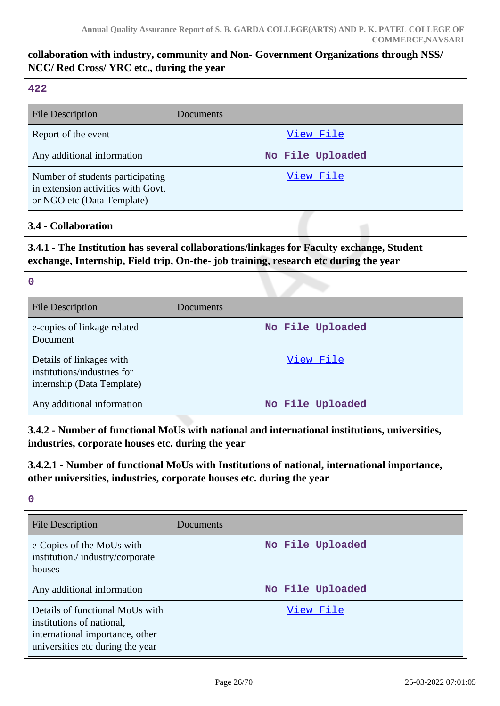# **collaboration with industry, community and Non- Government Organizations through NSS/ NCC/ Red Cross/ YRC etc., during the year 422** File Description Documents Report of the event  $V$ iew File Any additional information **No File Uploaded** Number of students participating in extension activities with Govt. or NGO etc (Data Template) [View File](https://assessmentonline.naac.gov.in/storage/app/public/aqar/14661/14661_37_84.xlsx?1648171863) **3.4 - Collaboration 3.4.1 - The Institution has several collaborations/linkages for Faculty exchange, Student exchange, Internship, Field trip, On-the- job training, research etc during the year 0** File Description Documents e-copies of linkage related Document **No File Uploaded** Details of linkages with institutions/industries for internship (Data Template) [View File](https://assessmentonline.naac.gov.in/storage/app/public/aqar/14661/14661_38_86.xlsx?1648171863) Any additional information **No File Uploaded 3.4.2 - Number of functional MoUs with national and international institutions, universities, industries, corporate houses etc. during the year 3.4.2.1 - Number of functional MoUs with Institutions of national, international importance, other universities, industries, corporate houses etc. during the year 0** File Description Documents e-Copies of the MoUs with institution./ industry/corporate houses **No File Uploaded** Any additional information **No File Uploaded**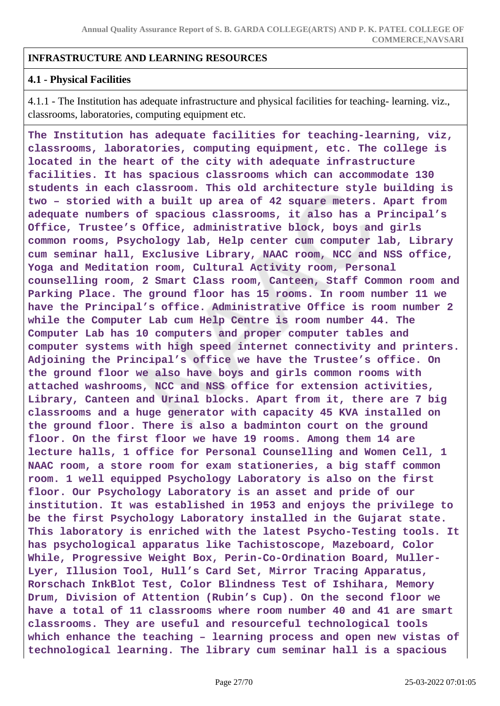#### **INFRASTRUCTURE AND LEARNING RESOURCES**

#### **4.1 - Physical Facilities**

4.1.1 - The Institution has adequate infrastructure and physical facilities for teaching- learning. viz., classrooms, laboratories, computing equipment etc.

**The Institution has adequate facilities for teaching-learning, viz, classrooms, laboratories, computing equipment, etc. The college is located in the heart of the city with adequate infrastructure facilities. It has spacious classrooms which can accommodate 130 students in each classroom. This old architecture style building is two – storied with a built up area of 42 square meters. Apart from adequate numbers of spacious classrooms, it also has a Principal's Office, Trustee's Office, administrative block, boys and girls common rooms, Psychology lab, Help center cum computer lab, Library cum seminar hall, Exclusive Library, NAAC room, NCC and NSS office, Yoga and Meditation room, Cultural Activity room, Personal counselling room, 2 Smart Class room, Canteen, Staff Common room and Parking Place. The ground floor has 15 rooms. In room number 11 we have the Principal's office. Administrative Office is room number 2 while the Computer Lab cum Help Centre is room number 44. The Computer Lab has 10 computers and proper computer tables and computer systems with high speed internet connectivity and printers. Adjoining the Principal's office we have the Trustee's office. On the ground floor we also have boys and girls common rooms with attached washrooms, NCC and NSS office for extension activities, Library, Canteen and Urinal blocks. Apart from it, there are 7 big classrooms and a huge generator with capacity 45 KVA installed on the ground floor. There is also a badminton court on the ground floor. On the first floor we have 19 rooms. Among them 14 are lecture halls, 1 office for Personal Counselling and Women Cell, 1 NAAC room, a store room for exam stationeries, a big staff common room. 1 well equipped Psychology Laboratory is also on the first floor. Our Psychology Laboratory is an asset and pride of our institution. It was established in 1953 and enjoys the privilege to be the first Psychology Laboratory installed in the Gujarat state. This laboratory is enriched with the latest Psycho-Testing tools. It has psychological apparatus like Tachistoscope, Mazeboard, Color While, Progressive Weight Box, Perin-Co-Ordination Board, Muller-Lyer, Illusion Tool, Hull's Card Set, Mirror Tracing Apparatus, Rorschach InkBlot Test, Color Blindness Test of Ishihara, Memory Drum, Division of Attention (Rubin's Cup). On the second floor we have a total of 11 classrooms where room number 40 and 41 are smart classrooms. They are useful and resourceful technological tools which enhance the teaching – learning process and open new vistas of technological learning. The library cum seminar hall is a spacious**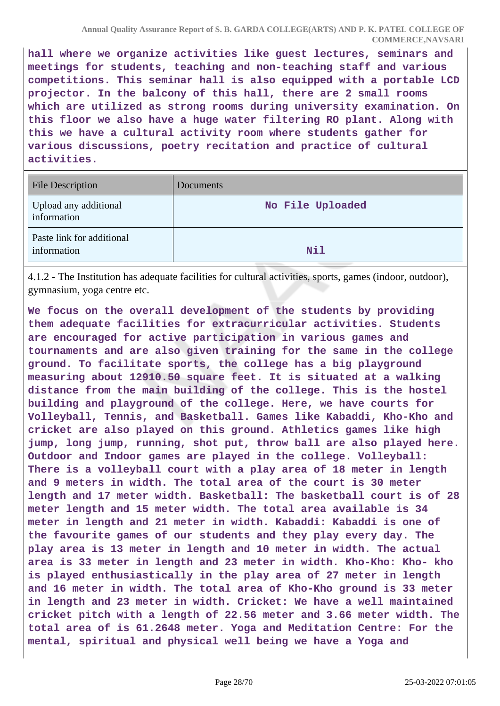**hall where we organize activities like guest lectures, seminars and meetings for students, teaching and non-teaching staff and various competitions. This seminar hall is also equipped with a portable LCD projector. In the balcony of this hall, there are 2 small rooms which are utilized as strong rooms during university examination. On this floor we also have a huge water filtering RO plant. Along with this we have a cultural activity room where students gather for various discussions, poetry recitation and practice of cultural activities.**

| <b>File Description</b>                  | Documents        |
|------------------------------------------|------------------|
| Upload any additional<br>information     | No File Uploaded |
| Paste link for additional<br>information | Nil              |

4.1.2 - The Institution has adequate facilities for cultural activities, sports, games (indoor, outdoor), gymnasium, yoga centre etc.

**We focus on the overall development of the students by providing them adequate facilities for extracurricular activities. Students are encouraged for active participation in various games and tournaments and are also given training for the same in the college ground. To facilitate sports, the college has a big playground measuring about 12910.50 square feet. It is situated at a walking distance from the main building of the college. This is the hostel building and playground of the college. Here, we have courts for Volleyball, Tennis, and Basketball. Games like Kabaddi, Kho-Kho and cricket are also played on this ground. Athletics games like high jump, long jump, running, shot put, throw ball are also played here. Outdoor and Indoor games are played in the college. Volleyball: There is a volleyball court with a play area of 18 meter in length and 9 meters in width. The total area of the court is 30 meter length and 17 meter width. Basketball: The basketball court is of 28 meter length and 15 meter width. The total area available is 34 meter in length and 21 meter in width. Kabaddi: Kabaddi is one of the favourite games of our students and they play every day. The play area is 13 meter in length and 10 meter in width. The actual area is 33 meter in length and 23 meter in width. Kho-Kho: Kho- kho is played enthusiastically in the play area of 27 meter in length and 16 meter in width. The total area of Kho-Kho ground is 33 meter in length and 23 meter in width. Cricket: We have a well maintained cricket pitch with a length of 22.56 meter and 3.66 meter width. The total area of is 61.2648 meter. Yoga and Meditation Centre: For the mental, spiritual and physical well being we have a Yoga and**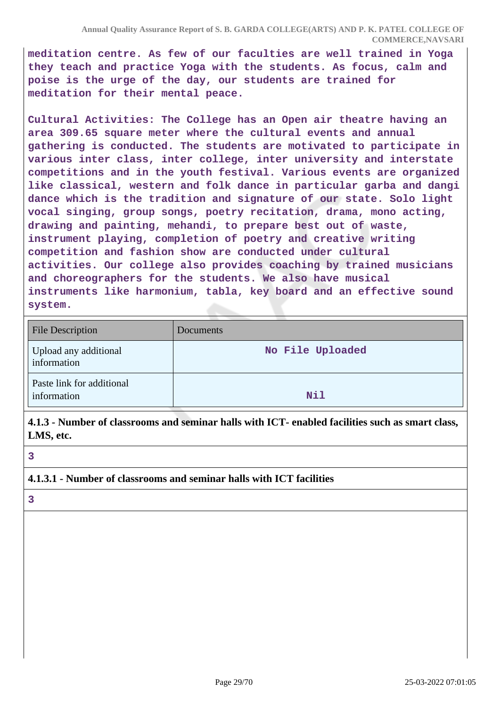**meditation centre. As few of our faculties are well trained in Yoga they teach and practice Yoga with the students. As focus, calm and poise is the urge of the day, our students are trained for meditation for their mental peace.**

**Cultural Activities: The College has an Open air theatre having an area 309.65 square meter where the cultural events and annual gathering is conducted. The students are motivated to participate in various inter class, inter college, inter university and interstate competitions and in the youth festival. Various events are organized like classical, western and folk dance in particular garba and dangi dance which is the tradition and signature of our state. Solo light vocal singing, group songs, poetry recitation, drama, mono acting, drawing and painting, mehandi, to prepare best out of waste, instrument playing, completion of poetry and creative writing competition and fashion show are conducted under cultural activities. Our college also provides coaching by trained musicians and choreographers for the students. We also have musical instruments like harmonium, tabla, key board and an effective sound system.**

| <b>File Description</b>                  | Documents        |
|------------------------------------------|------------------|
| Upload any additional<br>information     | No File Uploaded |
| Paste link for additional<br>information | <b>Nil</b>       |

**4.1.3 - Number of classrooms and seminar halls with ICT- enabled facilities such as smart class, LMS, etc.**

**3**

#### **4.1.3.1 - Number of classrooms and seminar halls with ICT facilities**

**3**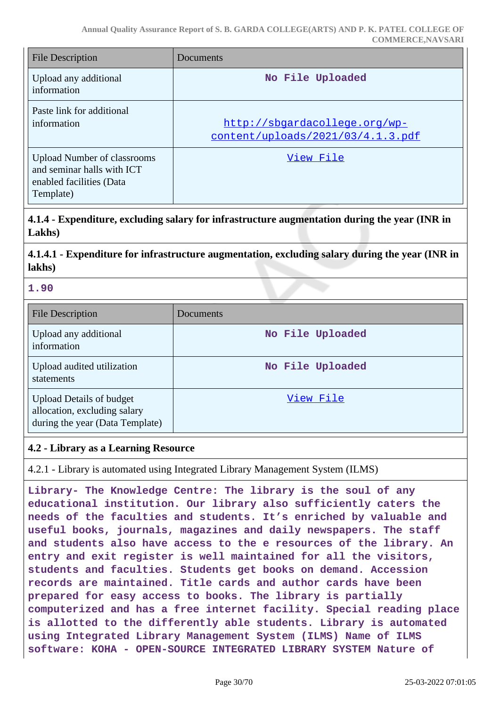| <b>File Description</b>                                                                                   | Documents                                                          |
|-----------------------------------------------------------------------------------------------------------|--------------------------------------------------------------------|
| Upload any additional<br>information                                                                      | No File Uploaded                                                   |
| Paste link for additional<br>information                                                                  | http://sbgardacollege.org/wp-<br>content/uploads/2021/03/4.1.3.pdf |
| <b>Upload Number of classrooms</b><br>and seminar halls with ICT<br>enabled facilities (Data<br>Template) | View File                                                          |

**4.1.4 - Expenditure, excluding salary for infrastructure augmentation during the year (INR in Lakhs)**

# **4.1.4.1 - Expenditure for infrastructure augmentation, excluding salary during the year (INR in lakhs)**

**1.90**

| File Description                                                                                   | Documents        |
|----------------------------------------------------------------------------------------------------|------------------|
| Upload any additional<br>information                                                               | No File Uploaded |
| Upload audited utilization<br>statements                                                           | No File Uploaded |
| <b>Upload Details of budget</b><br>allocation, excluding salary<br>during the year (Data Template) | View File        |

#### **4.2 - Library as a Learning Resource**

4.2.1 - Library is automated using Integrated Library Management System (ILMS)

**Library- The Knowledge Centre: The library is the soul of any educational institution. Our library also sufficiently caters the needs of the faculties and students. It's enriched by valuable and useful books, journals, magazines and daily newspapers. The staff and students also have access to the e resources of the library. An entry and exit register is well maintained for all the visitors, students and faculties. Students get books on demand. Accession records are maintained. Title cards and author cards have been prepared for easy access to books. The library is partially computerized and has a free internet facility. Special reading place is allotted to the differently able students. Library is automated using Integrated Library Management System (ILMS) Name of ILMS software: KOHA - OPEN-SOURCE INTEGRATED LIBRARY SYSTEM Nature of**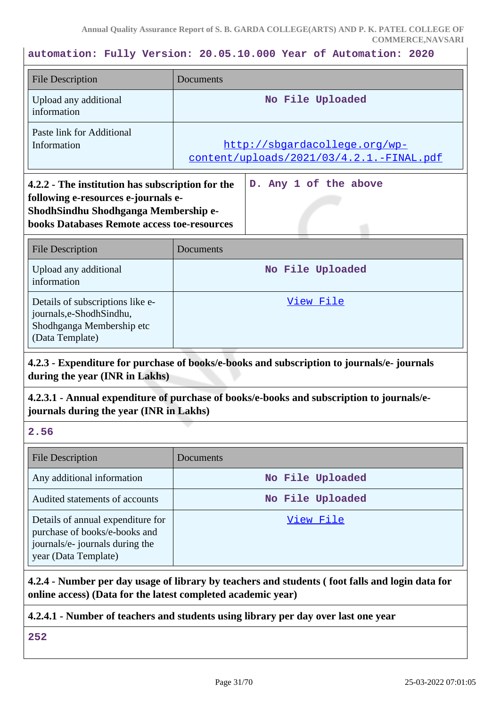**automation: Fully Version: 20.05.10.000 Year of Automation: 2020**

| <b>File Description</b>                                                                                                                                                               | Documents                                                                 |                                                                                                 |
|---------------------------------------------------------------------------------------------------------------------------------------------------------------------------------------|---------------------------------------------------------------------------|-------------------------------------------------------------------------------------------------|
| Upload any additional<br>information                                                                                                                                                  | No File Uploaded                                                          |                                                                                                 |
| Paste link for Additional<br>Information                                                                                                                                              | http://sbgardacollege.org/wp-<br>content/uploads/2021/03/4.2.1.-FINAL.pdf |                                                                                                 |
| 4.2.2 - The institution has subscription for the<br>following e-resources e-journals e-<br>ShodhSindhu Shodhganga Membership e-<br><b>books Databases Remote access toe-resources</b> |                                                                           | D. Any 1 of the above                                                                           |
| <b>File Description</b>                                                                                                                                                               | Documents                                                                 |                                                                                                 |
| Upload any additional<br>information                                                                                                                                                  | No File Uploaded                                                          |                                                                                                 |
| Details of subscriptions like e-<br>journals,e-ShodhSindhu,<br>Shodhganga Membership etc<br>(Data Template)                                                                           |                                                                           | View File                                                                                       |
| during the year (INR in Lakhs)                                                                                                                                                        |                                                                           | 4.2.3 - Expenditure for purchase of books/e-books and subscription to journals/e-journals       |
| journals during the year (INR in Lakhs)                                                                                                                                               |                                                                           | 4.2.3.1 - Annual expenditure of purchase of books/e-books and subscription to journals/e-       |
| 2.56                                                                                                                                                                                  |                                                                           |                                                                                                 |
| <b>File Description</b>                                                                                                                                                               | Documents                                                                 |                                                                                                 |
| Any additional information                                                                                                                                                            |                                                                           | No File Uploaded                                                                                |
| Audited statements of accounts                                                                                                                                                        |                                                                           | No File Uploaded                                                                                |
| Details of annual expenditure for<br>purchase of books/e-books and<br>journals/e- journals during the<br>year (Data Template)                                                         |                                                                           | View File                                                                                       |
|                                                                                                                                                                                       |                                                                           | 4.2.4 - Number per day usage of library by teachers and students (foot falls and login data for |

**online access) (Data for the latest completed academic year)**

# **4.2.4.1 - Number of teachers and students using library per day over last one year**

**252**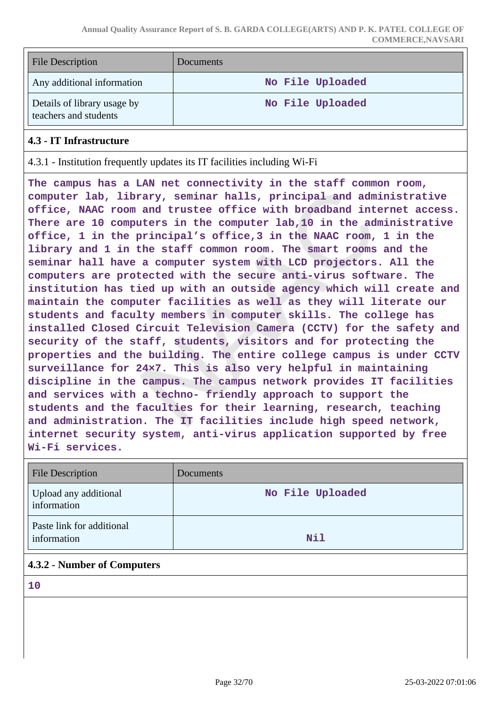| <b>File Description</b>                              | <b>Documents</b> |
|------------------------------------------------------|------------------|
| Any additional information                           | No File Uploaded |
| Details of library usage by<br>teachers and students | No File Uploaded |

#### **4.3 - IT Infrastructure**

4.3.1 - Institution frequently updates its IT facilities including Wi-Fi

**The campus has a LAN net connectivity in the staff common room, computer lab, library, seminar halls, principal and administrative office, NAAC room and trustee office with broadband internet access. There are 10 computers in the computer lab,10 in the administrative office, 1 in the principal's office,3 in the NAAC room, 1 in the library and 1 in the staff common room. The smart rooms and the seminar hall have a computer system with LCD projectors. All the computers are protected with the secure anti-virus software. The institution has tied up with an outside agency which will create and maintain the computer facilities as well as they will literate our students and faculty members in computer skills. The college has installed Closed Circuit Television Camera (CCTV) for the safety and security of the staff, students, visitors and for protecting the properties and the building. The entire college campus is under CCTV surveillance for 24×7. This is also very helpful in maintaining discipline in the campus. The campus network provides IT facilities and services with a techno- friendly approach to support the students and the faculties for their learning, research, teaching and administration. The IT facilities include high speed network, internet security system, anti-virus application supported by free Wi-Fi services.**

| <b>File Description</b>                  | Documents        |
|------------------------------------------|------------------|
| Upload any additional<br>information     | No File Uploaded |
| Paste link for additional<br>information | Nil              |

#### **4.3.2 - Number of Computers**

**10**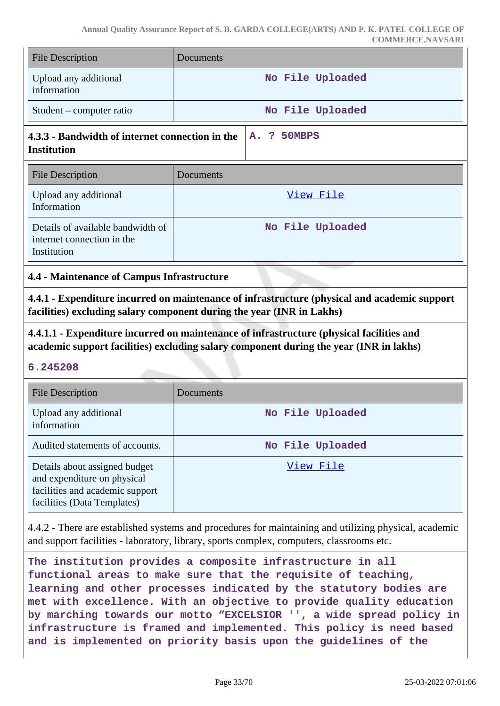|                                                                                                                                                                                    | CONTRENCENTA VERIA                                                                                                                                                    |  |  |  |  |
|------------------------------------------------------------------------------------------------------------------------------------------------------------------------------------|-----------------------------------------------------------------------------------------------------------------------------------------------------------------------|--|--|--|--|
| <b>File Description</b>                                                                                                                                                            | Documents                                                                                                                                                             |  |  |  |  |
| Upload any additional<br>information                                                                                                                                               | No File Uploaded                                                                                                                                                      |  |  |  |  |
| Student – computer ratio                                                                                                                                                           | No File Uploaded                                                                                                                                                      |  |  |  |  |
| 4.3.3 - Bandwidth of internet connection in the<br><b>Institution</b>                                                                                                              | 50MBPS<br>- ?<br><b>A.</b>                                                                                                                                            |  |  |  |  |
| <b>File Description</b>                                                                                                                                                            | Documents                                                                                                                                                             |  |  |  |  |
| Upload any additional<br>Information                                                                                                                                               | <u>View File</u>                                                                                                                                                      |  |  |  |  |
| Details of available bandwidth of<br>internet connection in the<br>Institution                                                                                                     | No File Uploaded                                                                                                                                                      |  |  |  |  |
| 4.4 - Maintenance of Campus Infrastructure                                                                                                                                         |                                                                                                                                                                       |  |  |  |  |
|                                                                                                                                                                                    | 4.4.1 - Expenditure incurred on maintenance of infrastructure (physical and academic support<br>facilities) excluding salary component during the year (INR in Lakhs) |  |  |  |  |
| 4.4.1.1 - Expenditure incurred on maintenance of infrastructure (physical facilities and<br>academic support facilities) excluding salary component during the year (INR in lakhs) |                                                                                                                                                                       |  |  |  |  |
| 6.245208                                                                                                                                                                           |                                                                                                                                                                       |  |  |  |  |
| <b>File Description</b>                                                                                                                                                            | Documents                                                                                                                                                             |  |  |  |  |
| Upload any additional<br>information                                                                                                                                               | No File Uploaded                                                                                                                                                      |  |  |  |  |
| Audited statements of accounts.                                                                                                                                                    | No File Uploaded                                                                                                                                                      |  |  |  |  |
| Details about assigned budget<br>and expenditure on physical<br>facilities and academic support<br>facilities (Data Templates)                                                     | <u>View File</u>                                                                                                                                                      |  |  |  |  |

4.4.2 - There are established systems and procedures for maintaining and utilizing physical, academic and support facilities - laboratory, library, sports complex, computers, classrooms etc.

**The institution provides a composite infrastructure in all functional areas to make sure that the requisite of teaching, learning and other processes indicated by the statutory bodies are met with excellence. With an objective to provide quality education by marching towards our motto "EXCELSIOR '', a wide spread policy in infrastructure is framed and implemented. This policy is need based and is implemented on priority basis upon the guidelines of the**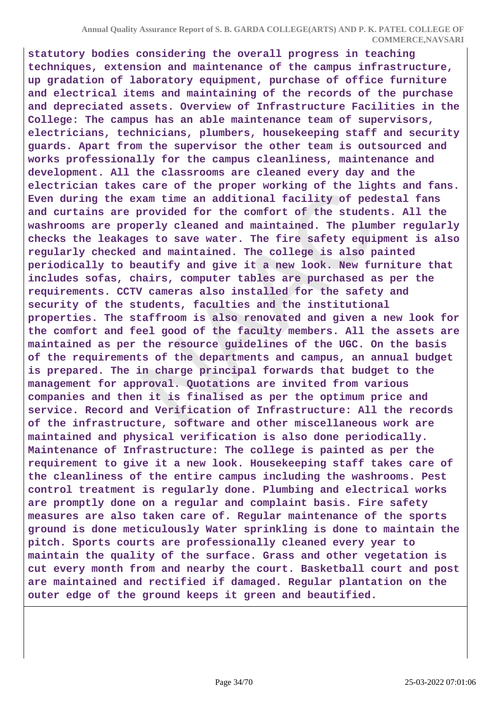**statutory bodies considering the overall progress in teaching techniques, extension and maintenance of the campus infrastructure, up gradation of laboratory equipment, purchase of office furniture and electrical items and maintaining of the records of the purchase and depreciated assets. Overview of Infrastructure Facilities in the College: The campus has an able maintenance team of supervisors, electricians, technicians, plumbers, housekeeping staff and security guards. Apart from the supervisor the other team is outsourced and works professionally for the campus cleanliness, maintenance and development. All the classrooms are cleaned every day and the electrician takes care of the proper working of the lights and fans. Even during the exam time an additional facility of pedestal fans and curtains are provided for the comfort of the students. All the washrooms are properly cleaned and maintained. The plumber regularly checks the leakages to save water. The fire safety equipment is also regularly checked and maintained. The college is also painted periodically to beautify and give it a new look. New furniture that includes sofas, chairs, computer tables are purchased as per the requirements. CCTV cameras also installed for the safety and security of the students, faculties and the institutional properties. The staffroom is also renovated and given a new look for the comfort and feel good of the faculty members. All the assets are maintained as per the resource guidelines of the UGC. On the basis of the requirements of the departments and campus, an annual budget is prepared. The in charge principal forwards that budget to the management for approval. Quotations are invited from various companies and then it is finalised as per the optimum price and service. Record and Verification of Infrastructure: All the records of the infrastructure, software and other miscellaneous work are maintained and physical verification is also done periodically. Maintenance of Infrastructure: The college is painted as per the requirement to give it a new look. Housekeeping staff takes care of the cleanliness of the entire campus including the washrooms. Pest control treatment is regularly done. Plumbing and electrical works are promptly done on a regular and complaint basis. Fire safety measures are also taken care of. Regular maintenance of the sports ground is done meticulously Water sprinkling is done to maintain the pitch. Sports courts are professionally cleaned every year to maintain the quality of the surface. Grass and other vegetation is cut every month from and nearby the court. Basketball court and post are maintained and rectified if damaged. Regular plantation on the outer edge of the ground keeps it green and beautified.**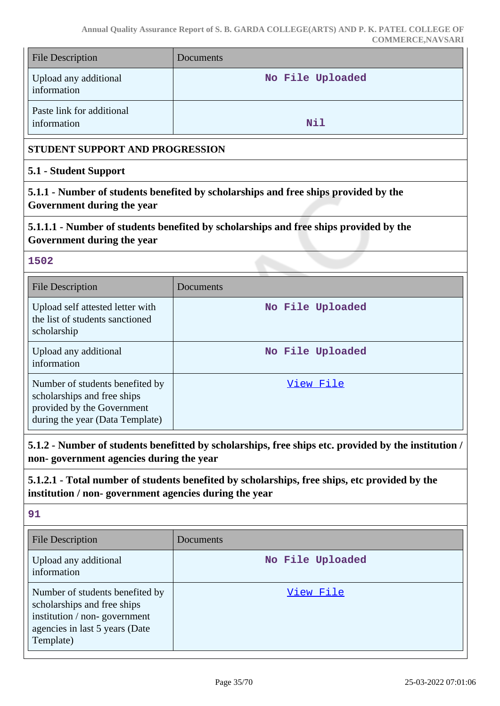| <b>File Description</b>                                                                                                                       | Documents                                                                                            |
|-----------------------------------------------------------------------------------------------------------------------------------------------|------------------------------------------------------------------------------------------------------|
| Upload any additional<br>information                                                                                                          | No File Uploaded                                                                                     |
| Paste link for additional<br>information                                                                                                      | Nil                                                                                                  |
| STUDENT SUPPORT AND PROGRESSION                                                                                                               |                                                                                                      |
| 5.1 - Student Support                                                                                                                         |                                                                                                      |
| Government during the year                                                                                                                    | 5.1.1 - Number of students benefited by scholarships and free ships provided by the                  |
| Government during the year                                                                                                                    | 5.1.1.1 - Number of students benefited by scholarships and free ships provided by the                |
| 1502                                                                                                                                          |                                                                                                      |
| <b>File Description</b>                                                                                                                       | Documents                                                                                            |
| Upload self attested letter with<br>the list of students sanctioned<br>scholarship                                                            | No File Uploaded                                                                                     |
| Upload any additional<br>information                                                                                                          | No File Uploaded                                                                                     |
| Number of students benefited by<br>scholarships and free ships<br>provided by the Government<br>during the year (Data Template)               | View File                                                                                            |
| non-government agencies during the year                                                                                                       | 5.1.2 - Number of students benefitted by scholarships, free ships etc. provided by the institution / |
| institution / non-government agencies during the year                                                                                         | 5.1.2.1 - Total number of students benefited by scholarships, free ships, etc provided by the        |
| 91                                                                                                                                            |                                                                                                      |
| <b>File Description</b>                                                                                                                       | Documents                                                                                            |
| Upload any additional<br>information                                                                                                          | No File Uploaded                                                                                     |
| Number of students benefited by<br>scholarships and free ships<br>institution / non-government<br>agencies in last 5 years (Date<br>Template) | <u>View File</u>                                                                                     |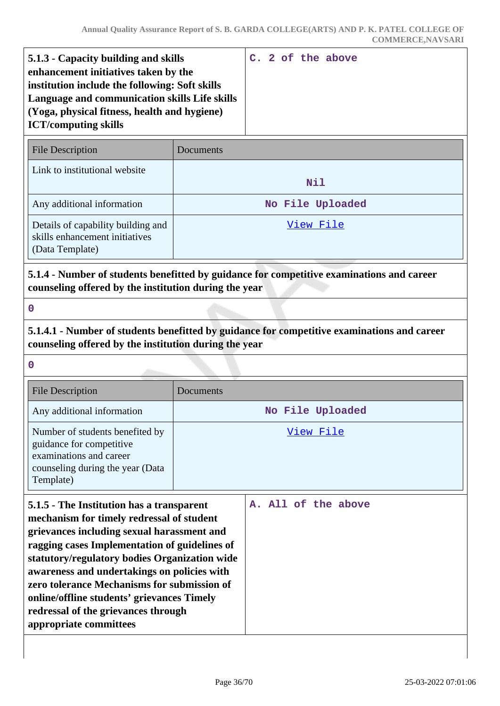| 5.1.3 - Capacity building and skills           | C. 2 of the above |
|------------------------------------------------|-------------------|
| enhancement initiatives taken by the           |                   |
| institution include the following: Soft skills |                   |
| Language and communication skills Life skills  |                   |
| (Yoga, physical fitness, health and hygiene)   |                   |
| <b>ICT/computing skills</b>                    |                   |

| <b>File Description</b>                                                                 | Documents        |
|-----------------------------------------------------------------------------------------|------------------|
| Link to institutional website                                                           | Nil              |
| Any additional information                                                              | No File Uploaded |
| Details of capability building and<br>skills enhancement initiatives<br>(Data Template) | View File        |

# **5.1.4 - Number of students benefitted by guidance for competitive examinations and career counseling offered by the institution during the year**

**0**

# **5.1.4.1 - Number of students benefitted by guidance for competitive examinations and career counseling offered by the institution during the year**

| P. |  |    |  |  |
|----|--|----|--|--|
|    |  |    |  |  |
|    |  |    |  |  |
|    |  | ۰. |  |  |
|    |  |    |  |  |

| <b>File Description</b>                                                                                                                 | Documents        |
|-----------------------------------------------------------------------------------------------------------------------------------------|------------------|
| Any additional information                                                                                                              | No File Uploaded |
| Number of students benefited by<br>guidance for competitive<br>examinations and career<br>counseling during the year (Data<br>Template) | View File        |

| 5.1.5 - The Institution has a transparent     |  |  | A. All of the above |
|-----------------------------------------------|--|--|---------------------|
| mechanism for timely redressal of student     |  |  |                     |
| grievances including sexual harassment and    |  |  |                     |
| ragging cases Implementation of guidelines of |  |  |                     |
| statutory/regulatory bodies Organization wide |  |  |                     |
| awareness and undertakings on policies with   |  |  |                     |
| zero tolerance Mechanisms for submission of   |  |  |                     |
| online/offline students' grievances Timely    |  |  |                     |
| redressal of the grievances through           |  |  |                     |
| appropriate committees                        |  |  |                     |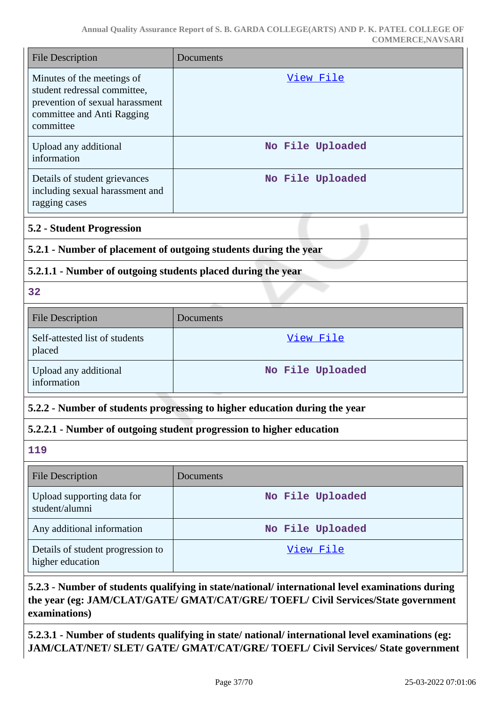| <b>File Description</b>                                                                                                                  | Documents                                                                  |
|------------------------------------------------------------------------------------------------------------------------------------------|----------------------------------------------------------------------------|
| Minutes of the meetings of<br>student redressal committee,<br>prevention of sexual harassment<br>committee and Anti Ragging<br>committee | View File                                                                  |
| Upload any additional<br>information                                                                                                     | No File Uploaded                                                           |
| Details of student grievances<br>including sexual harassment and<br>ragging cases                                                        | No File Uploaded                                                           |
| <b>5.2 - Student Progression</b>                                                                                                         |                                                                            |
|                                                                                                                                          | 5.2.1 - Number of placement of outgoing students during the year           |
| 5.2.1.1 - Number of outgoing students placed during the year                                                                             |                                                                            |
| 32                                                                                                                                       |                                                                            |
| <b>File Description</b>                                                                                                                  | Documents                                                                  |
| Self-attested list of students<br>placed                                                                                                 | View File                                                                  |
| Upload any additional<br>information                                                                                                     | No File Uploaded                                                           |
|                                                                                                                                          | 5.2.2 - Number of students progressing to higher education during the year |
|                                                                                                                                          | 5.2.2.1 - Number of outgoing student progression to higher education       |
| 119                                                                                                                                      |                                                                            |
| <b>File Description</b>                                                                                                                  | Documents                                                                  |
| Upload supporting data for<br>student/alumni                                                                                             | No File Uploaded                                                           |
| Any additional information                                                                                                               | No File Uploaded                                                           |
| Details of student progression to<br>higher education                                                                                    | <u>View File</u>                                                           |

# **5.2.3 - Number of students qualifying in state/national/ international level examinations during the year (eg: JAM/CLAT/GATE/ GMAT/CAT/GRE/ TOEFL/ Civil Services/State government examinations)**

**5.2.3.1 - Number of students qualifying in state/ national/ international level examinations (eg: JAM/CLAT/NET/ SLET/ GATE/ GMAT/CAT/GRE/ TOEFL/ Civil Services/ State government**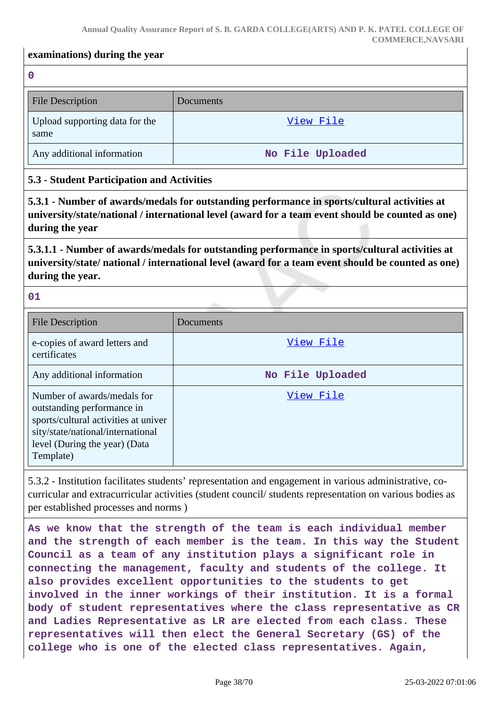#### **examinations) during the year**

**0**

| <b>File Description</b>                | <b>Documents</b> |
|----------------------------------------|------------------|
| Upload supporting data for the<br>same | View File        |
| Any additional information             | No File Uploaded |

# **5.3 - Student Participation and Activities**

**5.3.1 - Number of awards/medals for outstanding performance in sports/cultural activities at university/state/national / international level (award for a team event should be counted as one) during the year**

**5.3.1.1 - Number of awards/medals for outstanding performance in sports/cultural activities at university/state/ national / international level (award for a team event should be counted as one) during the year.**

**01**

| <b>File Description</b>                                                                                                                                                              | Documents        |
|--------------------------------------------------------------------------------------------------------------------------------------------------------------------------------------|------------------|
| e-copies of award letters and<br>certificates                                                                                                                                        | View File        |
| Any additional information                                                                                                                                                           | No File Uploaded |
| Number of awards/medals for<br>outstanding performance in<br>sports/cultural activities at univer<br>sity/state/national/international<br>level (During the year) (Data<br>Template) | View File        |

5.3.2 - Institution facilitates students' representation and engagement in various administrative, cocurricular and extracurricular activities (student council/ students representation on various bodies as per established processes and norms )

**As we know that the strength of the team is each individual member and the strength of each member is the team. In this way the Student Council as a team of any institution plays a significant role in connecting the management, faculty and students of the college. It also provides excellent opportunities to the students to get involved in the inner workings of their institution. It is a formal body of student representatives where the class representative as CR and Ladies Representative as LR are elected from each class. These representatives will then elect the General Secretary (GS) of the college who is one of the elected class representatives. Again,**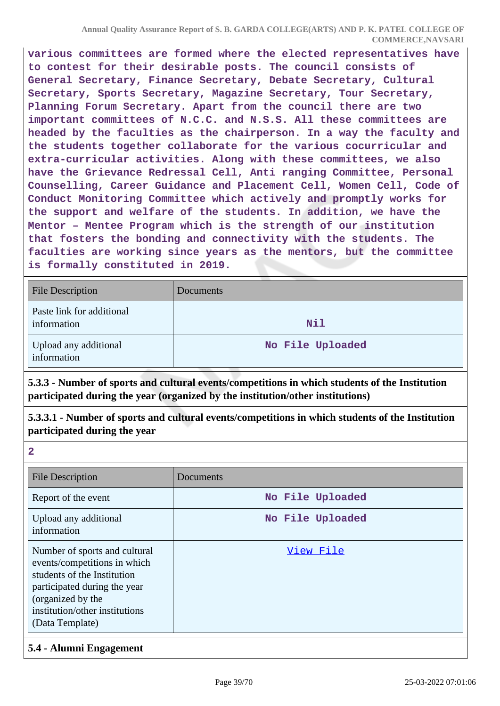**various committees are formed where the elected representatives have to contest for their desirable posts. The council consists of General Secretary, Finance Secretary, Debate Secretary, Cultural Secretary, Sports Secretary, Magazine Secretary, Tour Secretary, Planning Forum Secretary. Apart from the council there are two important committees of N.C.C. and N.S.S. All these committees are headed by the faculties as the chairperson. In a way the faculty and the students together collaborate for the various cocurricular and extra-curricular activities. Along with these committees, we also have the Grievance Redressal Cell, Anti ranging Committee, Personal Counselling, Career Guidance and Placement Cell, Women Cell, Code of Conduct Monitoring Committee which actively and promptly works for the support and welfare of the students. In addition, we have the Mentor – Mentee Program which is the strength of our institution that fosters the bonding and connectivity with the students. The faculties are working since years as the mentors, but the committee is formally constituted in 2019.**

| <b>File Description</b>                  | Documents        |
|------------------------------------------|------------------|
| Paste link for additional<br>information | <b>Nil</b>       |
| Upload any additional<br>information     | No File Uploaded |

**5.3.3 - Number of sports and cultural events/competitions in which students of the Institution participated during the year (organized by the institution/other institutions)**

**5.3.3.1 - Number of sports and cultural events/competitions in which students of the Institution participated during the year**

| <b>File Description</b>                                                                                                                                                                                | Documents        |
|--------------------------------------------------------------------------------------------------------------------------------------------------------------------------------------------------------|------------------|
| Report of the event                                                                                                                                                                                    | No File Uploaded |
| Upload any additional<br>information                                                                                                                                                                   | No File Uploaded |
| Number of sports and cultural<br>events/competitions in which<br>students of the Institution<br>participated during the year<br>(organized by the<br>institution/other institutions<br>(Data Template) | View File        |

#### **5.4 - Alumni Engagement**

**2**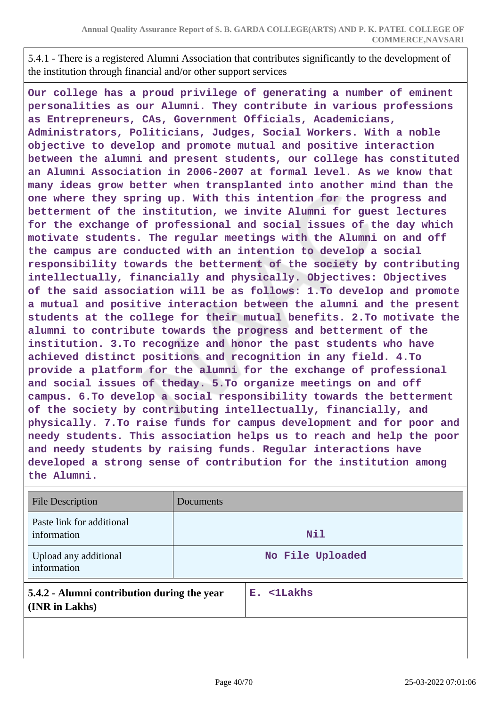5.4.1 - There is a registered Alumni Association that contributes significantly to the development of the institution through financial and/or other support services

**Our college has a proud privilege of generating a number of eminent personalities as our Alumni. They contribute in various professions as Entrepreneurs, CAs, Government Officials, Academicians, Administrators, Politicians, Judges, Social Workers. With a noble objective to develop and promote mutual and positive interaction between the alumni and present students, our college has constituted an Alumni Association in 2006-2007 at formal level. As we know that many ideas grow better when transplanted into another mind than the one where they spring up. With this intention for the progress and betterment of the institution, we invite Alumni for guest lectures for the exchange of professional and social issues of the day which motivate students. The regular meetings with the Alumni on and off the campus are conducted with an intention to develop a social responsibility towards the betterment of the society by contributing intellectually, financially and physically. Objectives: Objectives of the said association will be as follows: 1.To develop and promote a mutual and positive interaction between the alumni and the present students at the college for their mutual benefits. 2.To motivate the alumni to contribute towards the progress and betterment of the institution. 3.To recognize and honor the past students who have achieved distinct positions and recognition in any field. 4.To provide a platform for the alumni for the exchange of professional and social issues of theday. 5.To organize meetings on and off campus. 6.To develop a social responsibility towards the betterment of the society by contributing intellectually, financially, and physically. 7.To raise funds for campus development and for poor and needy students. This association helps us to reach and help the poor and needy students by raising funds. Regular interactions have developed a strong sense of contribution for the institution among the Alumni.**

| <b>File Description</b>                                       | Documents |                  |
|---------------------------------------------------------------|-----------|------------------|
| Paste link for additional<br>information                      |           | Nil              |
| Upload any additional<br>information                          |           | No File Uploaded |
| 5.4.2 - Alumni contribution during the year<br>(INR in Lakhs) |           | E. <1Lakhs       |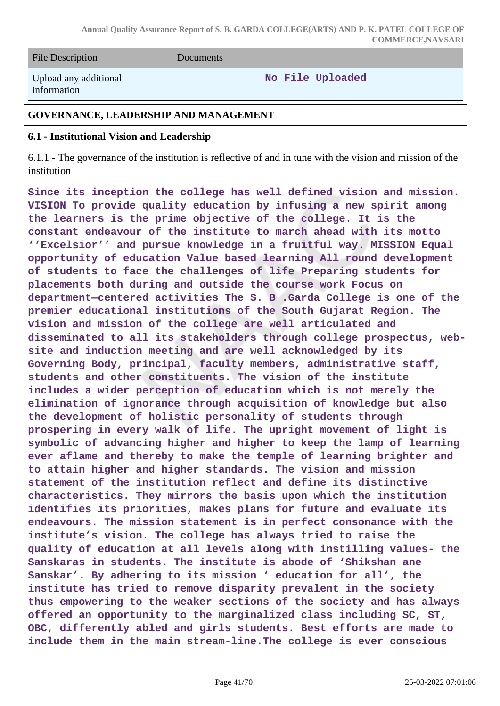| <b>File Description</b>              | Documents        |
|--------------------------------------|------------------|
| Upload any additional<br>information | No File Uploaded |

#### **GOVERNANCE, LEADERSHIP AND MANAGEMENT**

#### **6.1 - Institutional Vision and Leadership**

6.1.1 - The governance of the institution is reflective of and in tune with the vision and mission of the institution

**Since its inception the college has well defined vision and mission. VISION To provide quality education by infusing a new spirit among the learners is the prime objective of the college. It is the constant endeavour of the institute to march ahead with its motto ''Excelsior'' and pursue knowledge in a fruitful way. MISSION Equal opportunity of education Value based learning All round development of students to face the challenges of life Preparing students for placements both during and outside the course work Focus on department—centered activities The S. B .Garda College is one of the premier educational institutions of the South Gujarat Region. The vision and mission of the college are well articulated and disseminated to all its stakeholders through college prospectus, website and induction meeting and are well acknowledged by its Governing Body, principal, faculty members, administrative staff, students and other constituents. The vision of the institute includes a wider perception of education which is not merely the elimination of ignorance through acquisition of knowledge but also the development of holistic personality of students through prospering in every walk of life. The upright movement of light is symbolic of advancing higher and higher to keep the lamp of learning ever aflame and thereby to make the temple of learning brighter and to attain higher and higher standards. The vision and mission statement of the institution reflect and define its distinctive characteristics. They mirrors the basis upon which the institution identifies its priorities, makes plans for future and evaluate its endeavours. The mission statement is in perfect consonance with the institute's vision. The college has always tried to raise the quality of education at all levels along with instilling values- the Sanskaras in students. The institute is abode of 'Shikshan ane Sanskar'. By adhering to its mission ' education for all', the institute has tried to remove disparity prevalent in the society thus empowering to the weaker sections of the society and has always offered an opportunity to the marginalized class including SC, ST, OBC, differently abled and girls students. Best efforts are made to include them in the main stream-line.The college is ever conscious**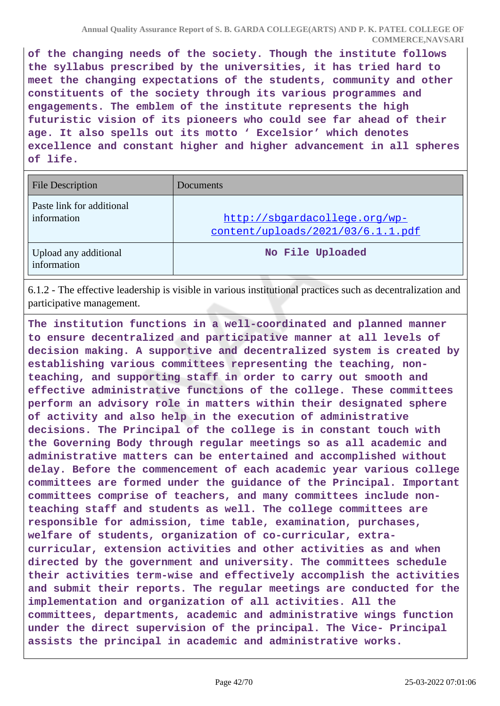**of the changing needs of the society. Though the institute follows the syllabus prescribed by the universities, it has tried hard to meet the changing expectations of the students, community and other constituents of the society through its various programmes and engagements. The emblem of the institute represents the high futuristic vision of its pioneers who could see far ahead of their age. It also spells out its motto ' Excelsior' which denotes excellence and constant higher and higher advancement in all spheres of life.**

| <b>File Description</b>                  | Documents                                                          |
|------------------------------------------|--------------------------------------------------------------------|
| Paste link for additional<br>information | http://sbgardacollege.org/wp-<br>content/uploads/2021/03/6.1.1.pdf |
| Upload any additional<br>information     | No File Uploaded                                                   |

6.1.2 - The effective leadership is visible in various institutional practices such as decentralization and participative management.

**The institution functions in a well-coordinated and planned manner to ensure decentralized and participative manner at all levels of decision making. A supportive and decentralized system is created by establishing various committees representing the teaching, nonteaching, and supporting staff in order to carry out smooth and effective administrative functions of the college. These committees perform an advisory role in matters within their designated sphere of activity and also help in the execution of administrative decisions. The Principal of the college is in constant touch with the Governing Body through regular meetings so as all academic and administrative matters can be entertained and accomplished without delay. Before the commencement of each academic year various college committees are formed under the guidance of the Principal. Important committees comprise of teachers, and many committees include nonteaching staff and students as well. The college committees are responsible for admission, time table, examination, purchases, welfare of students, organization of co-curricular, extracurricular, extension activities and other activities as and when directed by the government and university. The committees schedule their activities term-wise and effectively accomplish the activities and submit their reports. The regular meetings are conducted for the implementation and organization of all activities. All the committees, departments, academic and administrative wings function under the direct supervision of the principal. The Vice- Principal assists the principal in academic and administrative works.**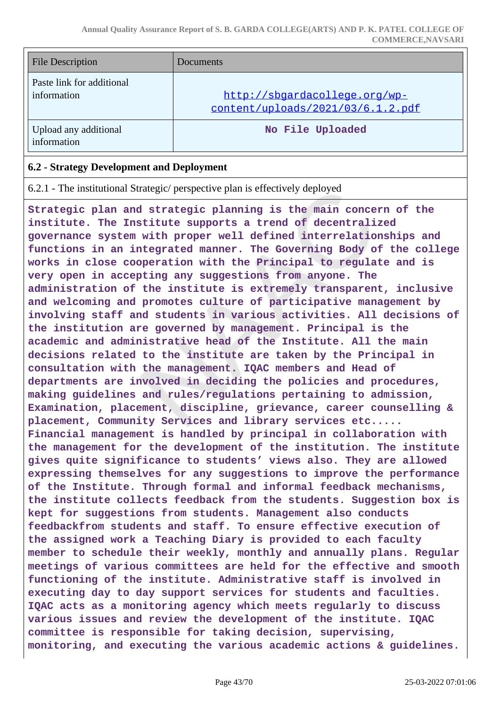| <b>File Description</b>                  | Documents                                                          |
|------------------------------------------|--------------------------------------------------------------------|
| Paste link for additional<br>information | http://sbgardacollege.org/wp-<br>content/uploads/2021/03/6.1.2.pdf |
| Upload any additional<br>information     | No File Uploaded                                                   |

#### **6.2 - Strategy Development and Deployment**

6.2.1 - The institutional Strategic/ perspective plan is effectively deployed

**Strategic plan and strategic planning is the main concern of the institute. The Institute supports a trend of decentralized governance system with proper well defined interrelationships and functions in an integrated manner. The Governing Body of the college works in close cooperation with the Principal to regulate and is very open in accepting any suggestions from anyone. The administration of the institute is extremely transparent, inclusive and welcoming and promotes culture of participative management by involving staff and students in various activities. All decisions of the institution are governed by management. Principal is the academic and administrative head of the Institute. All the main decisions related to the institute are taken by the Principal in consultation with the management. IQAC members and Head of departments are involved in deciding the policies and procedures, making guidelines and rules/regulations pertaining to admission, Examination, placement, discipline, grievance, career counselling & placement, Community Services and library services etc..... Financial management is handled by principal in collaboration with the management for the development of the institution. The institute gives quite significance to students' views also. They are allowed expressing themselves for any suggestions to improve the performance of the Institute. Through formal and informal feedback mechanisms, the institute collects feedback from the students. Suggestion box is kept for suggestions from students. Management also conducts feedbackfrom students and staff. To ensure effective execution of the assigned work a Teaching Diary is provided to each faculty member to schedule their weekly, monthly and annually plans. Regular meetings of various committees are held for the effective and smooth functioning of the institute. Administrative staff is involved in executing day to day support services for students and faculties. IQAC acts as a monitoring agency which meets regularly to discuss various issues and review the development of the institute. IQAC committee is responsible for taking decision, supervising, monitoring, and executing the various academic actions & guidelines.**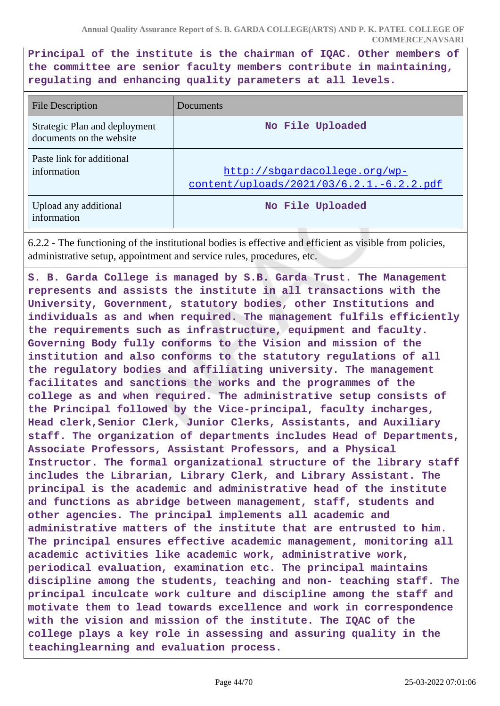**Principal of the institute is the chairman of IQAC. Other members of the committee are senior faculty members contribute in maintaining, regulating and enhancing quality parameters at all levels.**

| <b>File Description</b>                                   | Documents <sup>®</sup>                                                    |
|-----------------------------------------------------------|---------------------------------------------------------------------------|
| Strategic Plan and deployment<br>documents on the website | No File Uploaded                                                          |
| Paste link for additional<br>information                  | http://sbgardacollege.org/wp-<br>content/uploads/2021/03/6.2.1.-6.2.2.pdf |
| Upload any additional<br>information                      | No File Uploaded                                                          |

6.2.2 - The functioning of the institutional bodies is effective and efficient as visible from policies, administrative setup, appointment and service rules, procedures, etc.

**S. B. Garda College is managed by S.B. Garda Trust. The Management represents and assists the institute in all transactions with the University, Government, statutory bodies, other Institutions and individuals as and when required. The management fulfils efficiently the requirements such as infrastructure, equipment and faculty. Governing Body fully conforms to the Vision and mission of the institution and also conforms to the statutory regulations of all the regulatory bodies and affiliating university. The management facilitates and sanctions the works and the programmes of the college as and when required. The administrative setup consists of the Principal followed by the Vice-principal, faculty incharges, Head clerk,Senior Clerk, Junior Clerks, Assistants, and Auxiliary staff. The organization of departments includes Head of Departments, Associate Professors, Assistant Professors, and a Physical Instructor. The formal organizational structure of the library staff includes the Librarian, Library Clerk, and Library Assistant. The principal is the academic and administrative head of the institute and functions as abridge between management, staff, students and other agencies. The principal implements all academic and administrative matters of the institute that are entrusted to him. The principal ensures effective academic management, monitoring all academic activities like academic work, administrative work, periodical evaluation, examination etc. The principal maintains discipline among the students, teaching and non- teaching staff. The principal inculcate work culture and discipline among the staff and motivate them to lead towards excellence and work in correspondence with the vision and mission of the institute. The IQAC of the college plays a key role in assessing and assuring quality in the teachinglearning and evaluation process.**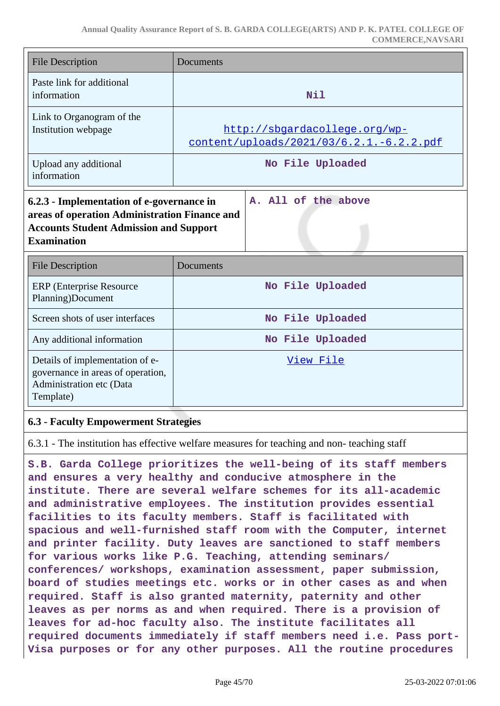| <b>File Description</b>                                                                                                                                           | Documents                                                                 |
|-------------------------------------------------------------------------------------------------------------------------------------------------------------------|---------------------------------------------------------------------------|
| Paste link for additional<br>information                                                                                                                          | Nil                                                                       |
| Link to Organogram of the<br>Institution webpage                                                                                                                  | http://sbgardacollege.org/wp-<br>content/uploads/2021/03/6.2.1.-6.2.2.pdf |
| Upload any additional<br>information                                                                                                                              | No File Uploaded                                                          |
| 6.2.3 - Implementation of e-governance in<br>areas of operation Administration Finance and<br><b>Accounts Student Admission and Support</b><br><b>Examination</b> | A. All of the above                                                       |
| <b>File Description</b>                                                                                                                                           | Documents                                                                 |
| <b>ERP</b> (Enterprise Resource<br>Planning)Document                                                                                                              | No File Uploaded                                                          |
| Screen shots of user interfaces                                                                                                                                   | No File Uploaded                                                          |
| Any additional information                                                                                                                                        | No File Uploaded                                                          |
| Details of implementation of e-<br>governance in areas of operation,<br>Administration etc (Data<br>Template)                                                     | View File                                                                 |

#### **6.3 - Faculty Empowerment Strategies**

6.3.1 - The institution has effective welfare measures for teaching and non- teaching staff

**S.B. Garda College prioritizes the well-being of its staff members and ensures a very healthy and conducive atmosphere in the institute. There are several welfare schemes for its all-academic and administrative employees. The institution provides essential facilities to its faculty members. Staff is facilitated with spacious and well-furnished staff room with the Computer, internet and printer facility. Duty leaves are sanctioned to staff members for various works like P.G. Teaching, attending seminars/ conferences/ workshops, examination assessment, paper submission, board of studies meetings etc. works or in other cases as and when required. Staff is also granted maternity, paternity and other leaves as per norms as and when required. There is a provision of leaves for ad-hoc faculty also. The institute facilitates all required documents immediately if staff members need i.e. Pass port-Visa purposes or for any other purposes. All the routine procedures**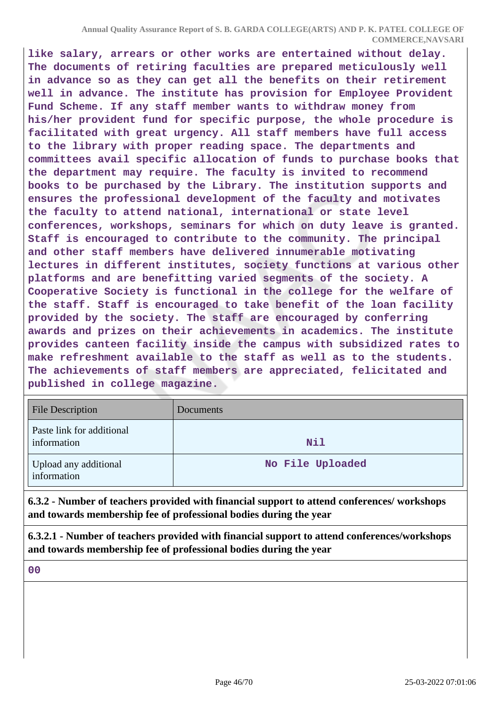**like salary, arrears or other works are entertained without delay. The documents of retiring faculties are prepared meticulously well in advance so as they can get all the benefits on their retirement well in advance. The institute has provision for Employee Provident Fund Scheme. If any staff member wants to withdraw money from his/her provident fund for specific purpose, the whole procedure is facilitated with great urgency. All staff members have full access to the library with proper reading space. The departments and committees avail specific allocation of funds to purchase books that the department may require. The faculty is invited to recommend books to be purchased by the Library. The institution supports and ensures the professional development of the faculty and motivates the faculty to attend national, international or state level conferences, workshops, seminars for which on duty leave is granted. Staff is encouraged to contribute to the community. The principal and other staff members have delivered innumerable motivating lectures in different institutes, society functions at various other platforms and are benefitting varied segments of the society. A Cooperative Society is functional in the college for the welfare of the staff. Staff is encouraged to take benefit of the loan facility provided by the society. The staff are encouraged by conferring awards and prizes on their achievements in academics. The institute provides canteen facility inside the campus with subsidized rates to make refreshment available to the staff as well as to the students. The achievements of staff members are appreciated, felicitated and published in college magazine.**

| <b>File Description</b>                  | Documents        |
|------------------------------------------|------------------|
| Paste link for additional<br>information | <b>Nil</b>       |
| Upload any additional<br>information     | No File Uploaded |

**6.3.2 - Number of teachers provided with financial support to attend conferences/ workshops and towards membership fee of professional bodies during the year**

**6.3.2.1 - Number of teachers provided with financial support to attend conferences/workshops and towards membership fee of professional bodies during the year**

**00**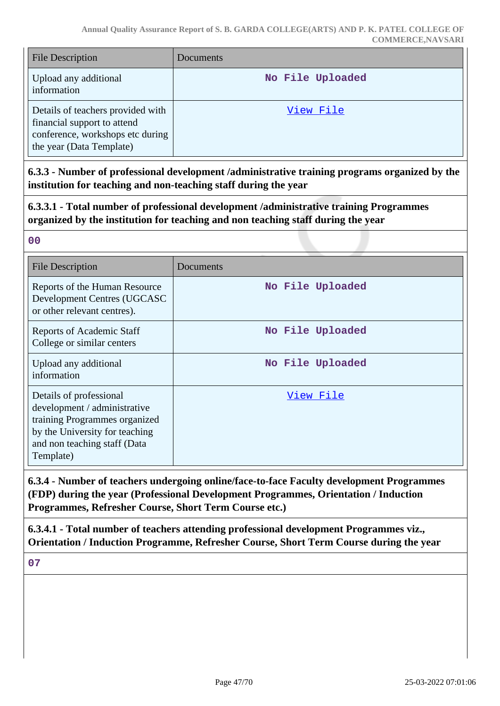| <b>File Description</b>                                                                                                          | <b>Documents</b> |
|----------------------------------------------------------------------------------------------------------------------------------|------------------|
| Upload any additional<br>information                                                                                             | No File Uploaded |
| Details of teachers provided with<br>financial support to attend<br>conference, workshops etc during<br>the year (Data Template) | View File        |

**6.3.3 - Number of professional development /administrative training programs organized by the institution for teaching and non-teaching staff during the year**

**6.3.3.1 - Total number of professional development /administrative training Programmes organized by the institution for teaching and non teaching staff during the year**

| $\sim$ | $\overline{\phantom{a}}$ |  |
|--------|--------------------------|--|
|        |                          |  |

| <b>File Description</b>                                                                                                                                                 | Documents        |
|-------------------------------------------------------------------------------------------------------------------------------------------------------------------------|------------------|
| Reports of the Human Resource<br>Development Centres (UGCASC<br>or other relevant centres).                                                                             | No File Uploaded |
| <b>Reports of Academic Staff</b><br>College or similar centers                                                                                                          | No File Uploaded |
| Upload any additional<br>information                                                                                                                                    | No File Uploaded |
| Details of professional<br>development / administrative<br>training Programmes organized<br>by the University for teaching<br>and non teaching staff (Data<br>Template) | View File        |

**6.3.4 - Number of teachers undergoing online/face-to-face Faculty development Programmes (FDP) during the year (Professional Development Programmes, Orientation / Induction Programmes, Refresher Course, Short Term Course etc.)**

**6.3.4.1 - Total number of teachers attending professional development Programmes viz., Orientation / Induction Programme, Refresher Course, Short Term Course during the year**

**07**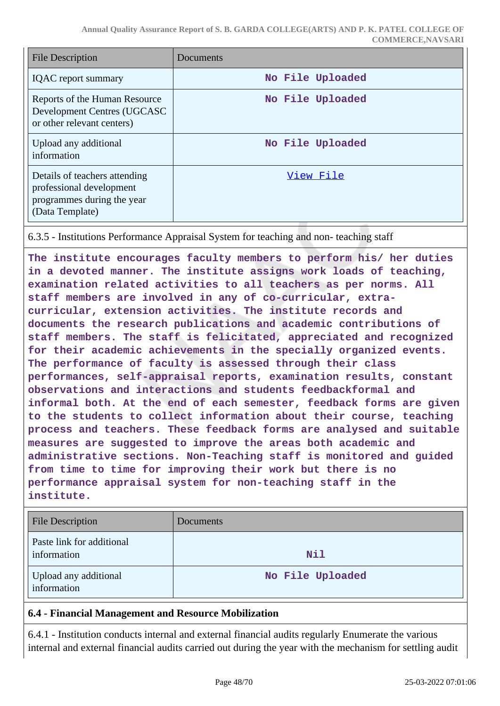| <b>File Description</b>                                                                                    | Documents        |
|------------------------------------------------------------------------------------------------------------|------------------|
| <b>IQAC</b> report summary                                                                                 | No File Uploaded |
| Reports of the Human Resource<br>Development Centres (UGCASC<br>or other relevant centers)                 | No File Uploaded |
| Upload any additional<br>information                                                                       | No File Uploaded |
| Details of teachers attending<br>professional development<br>programmes during the year<br>(Data Template) | View File        |

6.3.5 - Institutions Performance Appraisal System for teaching and non- teaching staff

**The institute encourages faculty members to perform his/ her duties in a devoted manner. The institute assigns work loads of teaching, examination related activities to all teachers as per norms. All staff members are involved in any of co-curricular, extracurricular, extension activities. The institute records and documents the research publications and academic contributions of staff members. The staff is felicitated, appreciated and recognized for their academic achievements in the specially organized events. The performance of faculty is assessed through their class performances, self-appraisal reports, examination results, constant observations and interactions and students feedbackformal and informal both. At the end of each semester, feedback forms are given to the students to collect information about their course, teaching process and teachers. These feedback forms are analysed and suitable measures are suggested to improve the areas both academic and administrative sections. Non-Teaching staff is monitored and guided from time to time for improving their work but there is no performance appraisal system for non-teaching staff in the institute.**

| <b>File Description</b>                  | Documents        |
|------------------------------------------|------------------|
| Paste link for additional<br>information | <b>Nil</b>       |
| Upload any additional<br>information     | No File Uploaded |

# **6.4 - Financial Management and Resource Mobilization**

6.4.1 - Institution conducts internal and external financial audits regularly Enumerate the various internal and external financial audits carried out during the year with the mechanism for settling audit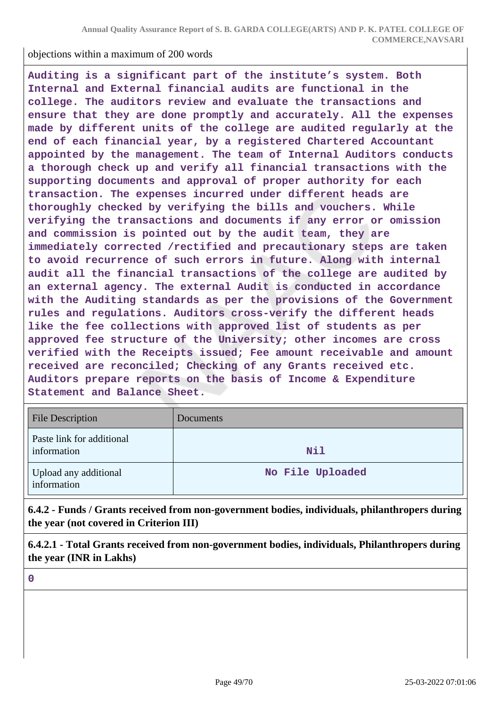objections within a maximum of 200 words

**Auditing is a significant part of the institute's system. Both Internal and External financial audits are functional in the college. The auditors review and evaluate the transactions and ensure that they are done promptly and accurately. All the expenses made by different units of the college are audited regularly at the end of each financial year, by a registered Chartered Accountant appointed by the management. The team of Internal Auditors conducts a thorough check up and verify all financial transactions with the supporting documents and approval of proper authority for each transaction. The expenses incurred under different heads are thoroughly checked by verifying the bills and vouchers. While verifying the transactions and documents if any error or omission and commission is pointed out by the audit team, they are immediately corrected /rectified and precautionary steps are taken to avoid recurrence of such errors in future. Along with internal audit all the financial transactions of the college are audited by an external agency. The external Audit is conducted in accordance with the Auditing standards as per the provisions of the Government rules and regulations. Auditors cross-verify the different heads like the fee collections with approved list of students as per approved fee structure of the University; other incomes are cross verified with the Receipts issued; Fee amount receivable and amount received are reconciled; Checking of any Grants received etc. Auditors prepare reports on the basis of Income & Expenditure Statement and Balance Sheet.**

| <b>File Description</b>                  | Documents        |
|------------------------------------------|------------------|
| Paste link for additional<br>information | Nil              |
| Upload any additional<br>information     | No File Uploaded |

**6.4.2 - Funds / Grants received from non-government bodies, individuals, philanthropers during the year (not covered in Criterion III)**

**6.4.2.1 - Total Grants received from non-government bodies, individuals, Philanthropers during the year (INR in Lakhs)**

**0**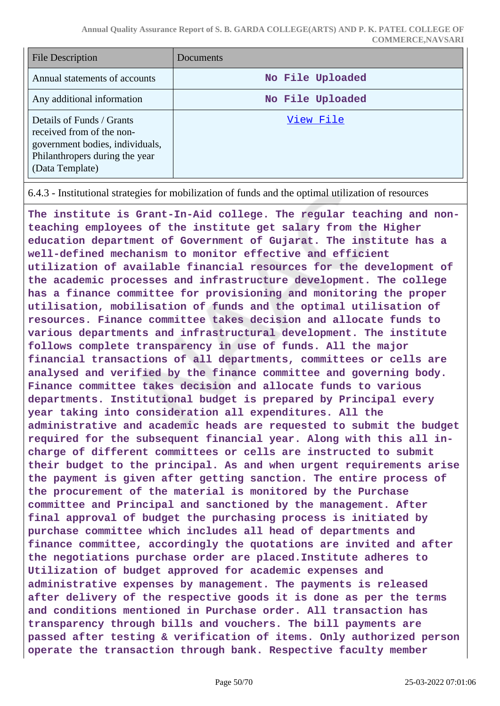| <b>File Description</b>                                                                                                                        | Documents        |
|------------------------------------------------------------------------------------------------------------------------------------------------|------------------|
| Annual statements of accounts                                                                                                                  | No File Uploaded |
| Any additional information                                                                                                                     | No File Uploaded |
| Details of Funds / Grants<br>received from of the non-<br>government bodies, individuals,<br>Philanthropers during the year<br>(Data Template) | View File        |

6.4.3 - Institutional strategies for mobilization of funds and the optimal utilization of resources

**The institute is Grant-In-Aid college. The regular teaching and nonteaching employees of the institute get salary from the Higher education department of Government of Gujarat. The institute has a well-defined mechanism to monitor effective and efficient utilization of available financial resources for the development of the academic processes and infrastructure development. The college has a finance committee for provisioning and monitoring the proper utilisation, mobilisation of funds and the optimal utilisation of resources. Finance committee takes decision and allocate funds to various departments and infrastructural development. The institute follows complete transparency in use of funds. All the major financial transactions of all departments, committees or cells are analysed and verified by the finance committee and governing body. Finance committee takes decision and allocate funds to various departments. Institutional budget is prepared by Principal every year taking into consideration all expenditures. All the administrative and academic heads are requested to submit the budget required for the subsequent financial year. Along with this all incharge of different committees or cells are instructed to submit their budget to the principal. As and when urgent requirements arise the payment is given after getting sanction. The entire process of the procurement of the material is monitored by the Purchase committee and Principal and sanctioned by the management. After final approval of budget the purchasing process is initiated by purchase committee which includes all head of departments and finance committee, accordingly the quotations are invited and after the negotiations purchase order are placed.Institute adheres to Utilization of budget approved for academic expenses and administrative expenses by management. The payments is released after delivery of the respective goods it is done as per the terms and conditions mentioned in Purchase order. All transaction has transparency through bills and vouchers. The bill payments are passed after testing & verification of items. Only authorized person operate the transaction through bank. Respective faculty member**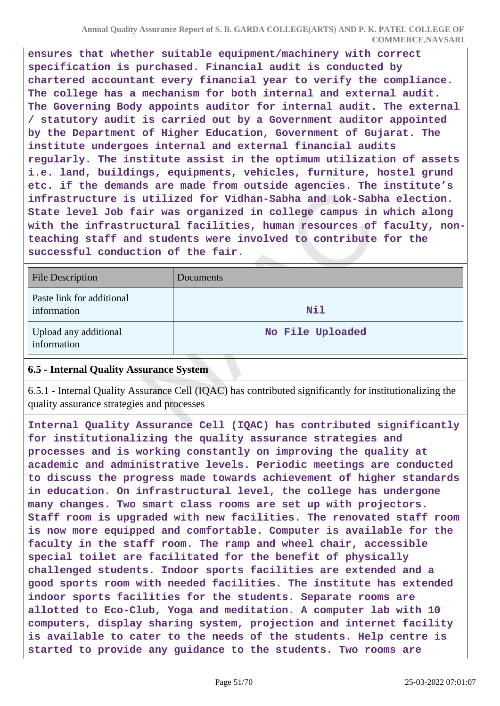**ensures that whether suitable equipment/machinery with correct specification is purchased. Financial audit is conducted by chartered accountant every financial year to verify the compliance. The college has a mechanism for both internal and external audit. The Governing Body appoints auditor for internal audit. The external / statutory audit is carried out by a Government auditor appointed by the Department of Higher Education, Government of Gujarat. The institute undergoes internal and external financial audits regularly. The institute assist in the optimum utilization of assets i.e. land, buildings, equipments, vehicles, furniture, hostel grund etc. if the demands are made from outside agencies. The institute's infrastructure is utilized for Vidhan-Sabha and Lok-Sabha election. State level Job fair was organized in college campus in which along with the infrastructural facilities, human resources of faculty, nonteaching staff and students were involved to contribute for the successful conduction of the fair.**

| <b>File Description</b>                  | Documents        |
|------------------------------------------|------------------|
| Paste link for additional<br>information | Nil              |
| Upload any additional<br>information     | No File Uploaded |

# **6.5 - Internal Quality Assurance System**

6.5.1 - Internal Quality Assurance Cell (IQAC) has contributed significantly for institutionalizing the quality assurance strategies and processes

**Internal Quality Assurance Cell (IQAC) has contributed significantly for institutionalizing the quality assurance strategies and processes and is working constantly on improving the quality at academic and administrative levels. Periodic meetings are conducted to discuss the progress made towards achievement of higher standards in education. On infrastructural level, the college has undergone many changes. Two smart class rooms are set up with projectors. Staff room is upgraded with new facilities. The renovated staff room is now more equipped and comfortable. Computer is available for the faculty in the staff room. The ramp and wheel chair, accessible special toilet are facilitated for the benefit of physically challenged students. Indoor sports facilities are extended and a good sports room with needed facilities. The institute has extended indoor sports facilities for the students. Separate rooms are allotted to Eco-Club, Yoga and meditation. A computer lab with 10 computers, display sharing system, projection and internet facility is available to cater to the needs of the students. Help centre is started to provide any guidance to the students. Two rooms are**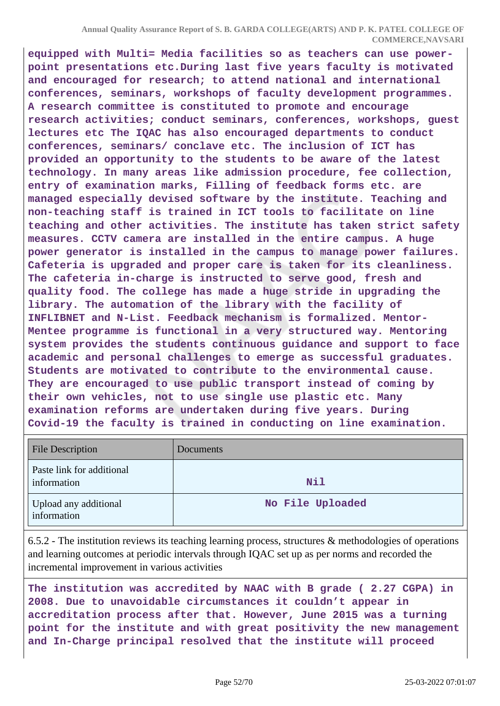**equipped with Multi= Media facilities so as teachers can use powerpoint presentations etc.During last five years faculty is motivated and encouraged for research; to attend national and international conferences, seminars, workshops of faculty development programmes. A research committee is constituted to promote and encourage research activities; conduct seminars, conferences, workshops, guest lectures etc The IQAC has also encouraged departments to conduct conferences, seminars/ conclave etc. The inclusion of ICT has provided an opportunity to the students to be aware of the latest technology. In many areas like admission procedure, fee collection, entry of examination marks, Filling of feedback forms etc. are managed especially devised software by the institute. Teaching and non-teaching staff is trained in ICT tools to facilitate on line teaching and other activities. The institute has taken strict safety measures. CCTV camera are installed in the entire campus. A huge power generator is installed in the campus to manage power failures. Cafeteria is upgraded and proper care is taken for its cleanliness. The cafeteria in-charge is instructed to serve good, fresh and quality food. The college has made a huge stride in upgrading the library. The automation of the library with the facility of INFLIBNET and N-List. Feedback mechanism is formalized. Mentor-Mentee programme is functional in a very structured way. Mentoring system provides the students continuous guidance and support to face academic and personal challenges to emerge as successful graduates. Students are motivated to contribute to the environmental cause. They are encouraged to use public transport instead of coming by their own vehicles, not to use single use plastic etc. Many examination reforms are undertaken during five years. During Covid-19 the faculty is trained in conducting on line examination.**

| <b>File Description</b>                  | Documents        |
|------------------------------------------|------------------|
| Paste link for additional<br>information | Nil              |
| Upload any additional<br>information     | No File Uploaded |

6.5.2 - The institution reviews its teaching learning process, structures & methodologies of operations and learning outcomes at periodic intervals through IQAC set up as per norms and recorded the incremental improvement in various activities

**The institution was accredited by NAAC with B grade ( 2.27 CGPA) in 2008. Due to unavoidable circumstances it couldn't appear in accreditation process after that. However, June 2015 was a turning point for the institute and with great positivity the new management and In-Charge principal resolved that the institute will proceed**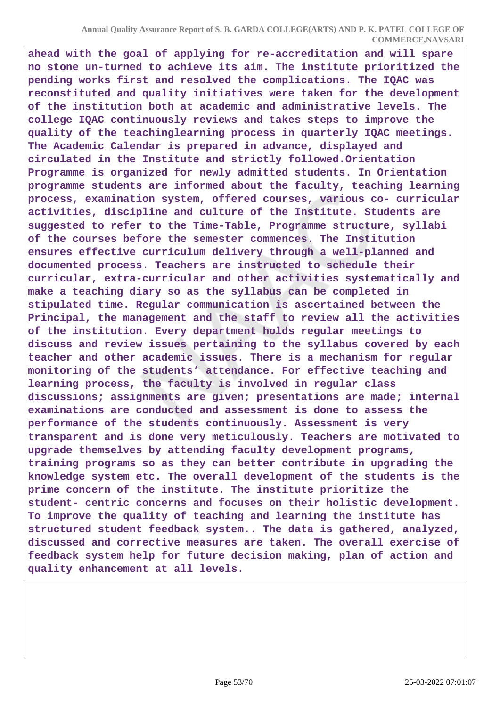**ahead with the goal of applying for re-accreditation and will spare no stone un-turned to achieve its aim. The institute prioritized the pending works first and resolved the complications. The IQAC was reconstituted and quality initiatives were taken for the development of the institution both at academic and administrative levels. The college IQAC continuously reviews and takes steps to improve the quality of the teachinglearning process in quarterly IQAC meetings. The Academic Calendar is prepared in advance, displayed and circulated in the Institute and strictly followed.Orientation Programme is organized for newly admitted students. In Orientation programme students are informed about the faculty, teaching learning process, examination system, offered courses, various co- curricular activities, discipline and culture of the Institute. Students are suggested to refer to the Time-Table, Programme structure, syllabi of the courses before the semester commences. The Institution ensures effective curriculum delivery through a well-planned and documented process. Teachers are instructed to schedule their curricular, extra-curricular and other activities systematically and make a teaching diary so as the syllabus can be completed in stipulated time. Regular communication is ascertained between the Principal, the management and the staff to review all the activities of the institution. Every department holds regular meetings to discuss and review issues pertaining to the syllabus covered by each teacher and other academic issues. There is a mechanism for regular monitoring of the students' attendance. For effective teaching and learning process, the faculty is involved in regular class discussions; assignments are given; presentations are made; internal examinations are conducted and assessment is done to assess the performance of the students continuously. Assessment is very transparent and is done very meticulously. Teachers are motivated to upgrade themselves by attending faculty development programs, training programs so as they can better contribute in upgrading the knowledge system etc. The overall development of the students is the prime concern of the institute. The institute prioritize the student- centric concerns and focuses on their holistic development. To improve the quality of teaching and learning the institute has structured student feedback system.. The data is gathered, analyzed, discussed and corrective measures are taken. The overall exercise of feedback system help for future decision making, plan of action and quality enhancement at all levels.**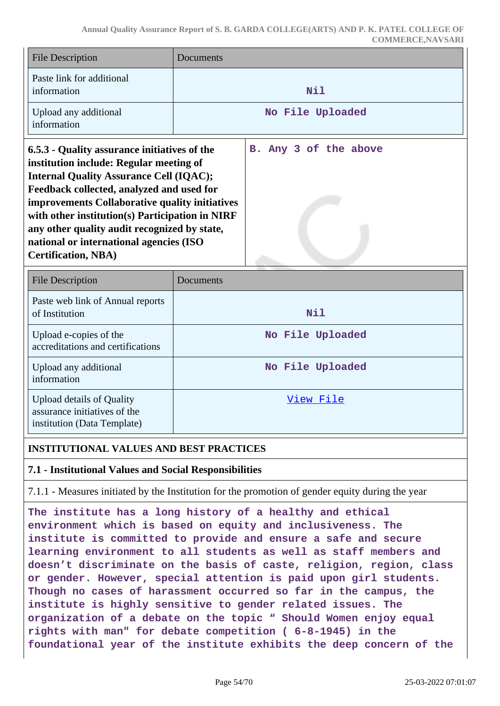| <b>File Description</b>                                                                                                                                                                                                                                                                                                                     | <b>Documents</b>      |
|---------------------------------------------------------------------------------------------------------------------------------------------------------------------------------------------------------------------------------------------------------------------------------------------------------------------------------------------|-----------------------|
| Paste link for additional<br>information                                                                                                                                                                                                                                                                                                    | Nil                   |
| Upload any additional<br>information                                                                                                                                                                                                                                                                                                        | No File Uploaded      |
| 6.5.3 - Quality assurance initiatives of the<br>institution include: Regular meeting of<br><b>Internal Quality Assurance Cell (IQAC);</b><br>Feedback collected, analyzed and used for<br>improvements Collaborative quality initiatives<br>with other institution(s) Participation in NIRF<br>any other quality audit recognized by state, | B. Any 3 of the above |

| <b>File Description</b>                                                                         | Documents        |
|-------------------------------------------------------------------------------------------------|------------------|
| Paste web link of Annual reports<br>of Institution                                              | Nil              |
| Upload e-copies of the<br>accreditations and certifications                                     | No File Uploaded |
| Upload any additional<br>information                                                            | No File Uploaded |
| <b>Upload details of Quality</b><br>assurance initiatives of the<br>institution (Data Template) | View File        |

#### **INSTITUTIONAL VALUES AND BEST PRACTICES**

**national or international agencies (ISO**

**Certification, NBA)**

#### **7.1 - Institutional Values and Social Responsibilities**

7.1.1 - Measures initiated by the Institution for the promotion of gender equity during the year

**The institute has a long history of a healthy and ethical environment which is based on equity and inclusiveness. The institute is committed to provide and ensure a safe and secure learning environment to all students as well as staff members and doesn't discriminate on the basis of caste, religion, region, class or gender. However, special attention is paid upon girl students. Though no cases of harassment occurred so far in the campus, the institute is highly sensitive to gender related issues. The organization of a debate on the topic " Should Women enjoy equal rights with man" for debate competition ( 6-8-1945) in the foundational year of the institute exhibits the deep concern of the**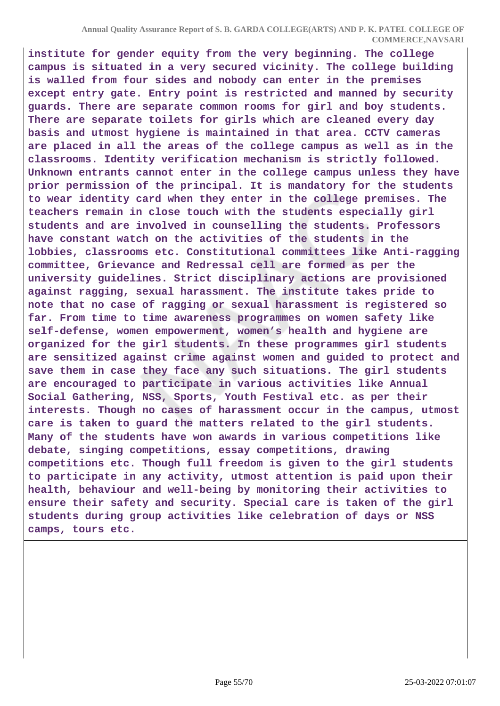**institute for gender equity from the very beginning. The college campus is situated in a very secured vicinity. The college building is walled from four sides and nobody can enter in the premises except entry gate. Entry point is restricted and manned by security guards. There are separate common rooms for girl and boy students. There are separate toilets for girls which are cleaned every day basis and utmost hygiene is maintained in that area. CCTV cameras are placed in all the areas of the college campus as well as in the classrooms. Identity verification mechanism is strictly followed. Unknown entrants cannot enter in the college campus unless they have prior permission of the principal. It is mandatory for the students to wear identity card when they enter in the college premises. The teachers remain in close touch with the students especially girl students and are involved in counselling the students. Professors have constant watch on the activities of the students in the lobbies, classrooms etc. Constitutional committees like Anti-ragging committee, Grievance and Redressal cell are formed as per the university guidelines. Strict disciplinary actions are provisioned against ragging, sexual harassment. The institute takes pride to note that no case of ragging or sexual harassment is registered so far. From time to time awareness programmes on women safety like self-defense, women empowerment, women's health and hygiene are organized for the girl students. In these programmes girl students are sensitized against crime against women and guided to protect and save them in case they face any such situations. The girl students are encouraged to participate in various activities like Annual Social Gathering, NSS, Sports, Youth Festival etc. as per their interests. Though no cases of harassment occur in the campus, utmost care is taken to guard the matters related to the girl students. Many of the students have won awards in various competitions like debate, singing competitions, essay competitions, drawing competitions etc. Though full freedom is given to the girl students to participate in any activity, utmost attention is paid upon their health, behaviour and well-being by monitoring their activities to ensure their safety and security. Special care is taken of the girl students during group activities like celebration of days or NSS camps, tours etc.**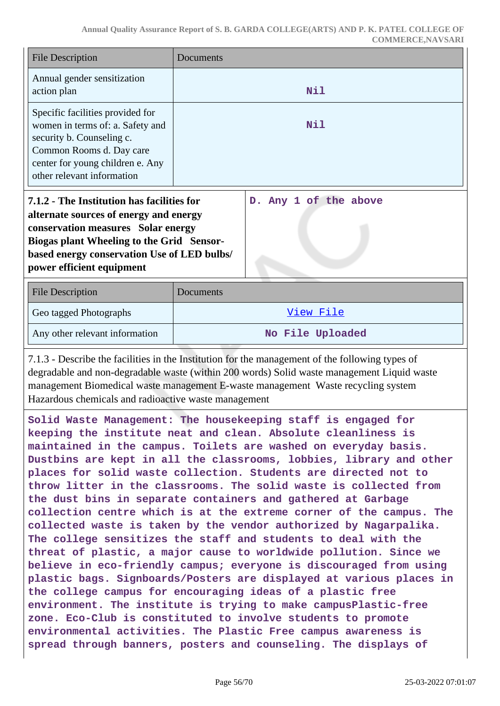| <b>File Description</b>                                                                                                                                                                                                                                                                                                                   | Documents             |  |
|-------------------------------------------------------------------------------------------------------------------------------------------------------------------------------------------------------------------------------------------------------------------------------------------------------------------------------------------|-----------------------|--|
| Annual gender sensitization<br>action plan                                                                                                                                                                                                                                                                                                | Nil                   |  |
| Specific facilities provided for<br>women in terms of: a. Safety and<br>security b. Counseling c.<br>Common Rooms d. Day care<br>center for young children e. Any<br>other relevant information                                                                                                                                           | Nil                   |  |
| 7.1.2 - The Institution has facilities for<br>alternate sources of energy and energy<br>conservation measures Solar energy<br>Biogas plant Wheeling to the Grid Sensor-<br>based energy conservation Use of LED bulbs/<br>power efficient equipment                                                                                       | D. Any 1 of the above |  |
| <b>File Description</b>                                                                                                                                                                                                                                                                                                                   | Documents             |  |
| Geo tagged Photographs                                                                                                                                                                                                                                                                                                                    | View File             |  |
| Any other relevant information                                                                                                                                                                                                                                                                                                            | No File Uploaded      |  |
| 7.1.3 - Describe the facilities in the Institution for the management of the following types of<br>degradable and non-degradable waste (within 200 words) Solid waste management Liquid waste<br>management Biomedical waste management E-waste management Waste recycling system<br>Hazardous chemicals and radioactive waste management |                       |  |
| Solid Waste Management: The housekeeping staff is engaged for<br>keeping the institute neat and clean. Absolute cleanliness is<br>astalatetan da iba padang metlebu pada padahat ad anggotasing pada                                                                                                                                      |                       |  |

**maintained in the campus. Toilets are washed on everyday basis. Dustbins are kept in all the classrooms, lobbies, library and other places for solid waste collection. Students are directed not to throw litter in the classrooms. The solid waste is collected from the dust bins in separate containers and gathered at Garbage collection centre which is at the extreme corner of the campus. The collected waste is taken by the vendor authorized by Nagarpalika. The college sensitizes the staff and students to deal with the threat of plastic, a major cause to worldwide pollution. Since we believe in eco-friendly campus; everyone is discouraged from using plastic bags. Signboards/Posters are displayed at various places in the college campus for encouraging ideas of a plastic free environment. The institute is trying to make campusPlastic-free zone. Eco-Club is constituted to involve students to promote environmental activities. The Plastic Free campus awareness is spread through banners, posters and counseling. The displays of**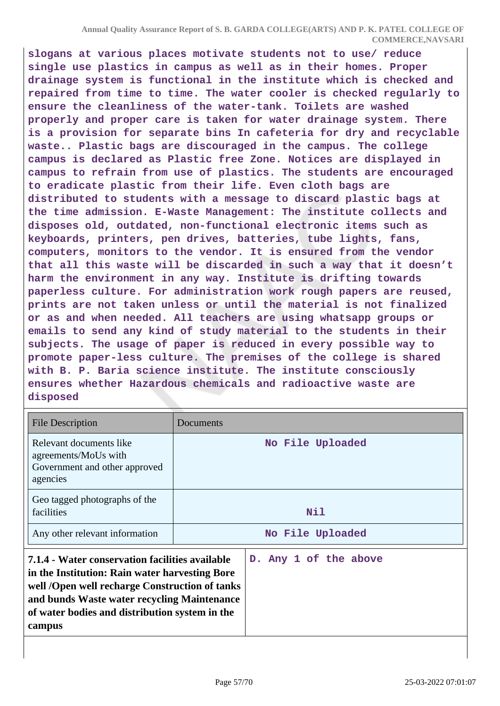**slogans at various places motivate students not to use/ reduce single use plastics in campus as well as in their homes. Proper drainage system is functional in the institute which is checked and repaired from time to time. The water cooler is checked regularly to ensure the cleanliness of the water-tank. Toilets are washed properly and proper care is taken for water drainage system. There is a provision for separate bins In cafeteria for dry and recyclable waste.. Plastic bags are discouraged in the campus. The college campus is declared as Plastic free Zone. Notices are displayed in campus to refrain from use of plastics. The students are encouraged to eradicate plastic from their life. Even cloth bags are distributed to students with a message to discard plastic bags at the time admission. E-Waste Management: The institute collects and disposes old, outdated, non-functional electronic items such as keyboards, printers, pen drives, batteries, tube lights, fans, computers, monitors to the vendor. It is ensured from the vendor that all this waste will be discarded in such a way that it doesn't harm the environment in any way. Institute is drifting towards paperless culture. For administration work rough papers are reused, prints are not taken unless or until the material is not finalized or as and when needed. All teachers are using whatsapp groups or emails to send any kind of study material to the students in their subjects. The usage of paper is reduced in every possible way to promote paper-less culture. The premises of the college is shared with B. P. Baria science institute. The institute consciously ensures whether Hazardous chemicals and radioactive waste are disposed**

| <b>File Description</b>                                                                                                                                                                                                                                        | Documents             |
|----------------------------------------------------------------------------------------------------------------------------------------------------------------------------------------------------------------------------------------------------------------|-----------------------|
| Relevant documents like<br>agreements/MoUs with<br>Government and other approved<br>agencies                                                                                                                                                                   | No File Uploaded      |
| Geo tagged photographs of the<br>facilities                                                                                                                                                                                                                    | Nil                   |
| Any other relevant information                                                                                                                                                                                                                                 | No File Uploaded      |
| 7.1.4 - Water conservation facilities available<br>in the Institution: Rain water harvesting Bore<br>well /Open well recharge Construction of tanks<br>and bunds Waste water recycling Maintenance<br>of water bodies and distribution system in the<br>campus | D. Any 1 of the above |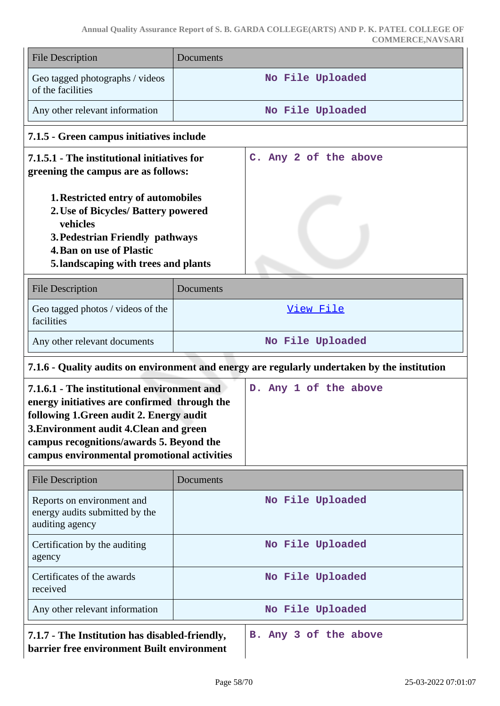| <b>File Description</b>                                                                                                                                                                                                                                                       | Documents |                                                                                              |  |  |
|-------------------------------------------------------------------------------------------------------------------------------------------------------------------------------------------------------------------------------------------------------------------------------|-----------|----------------------------------------------------------------------------------------------|--|--|
| Geo tagged photographs / videos<br>of the facilities                                                                                                                                                                                                                          |           | No File Uploaded                                                                             |  |  |
| Any other relevant information                                                                                                                                                                                                                                                |           | No File Uploaded                                                                             |  |  |
| 7.1.5 - Green campus initiatives include                                                                                                                                                                                                                                      |           |                                                                                              |  |  |
| 7.1.5.1 - The institutional initiatives for<br>greening the campus are as follows:                                                                                                                                                                                            |           | C. Any 2 of the above                                                                        |  |  |
| 1. Restricted entry of automobiles<br>2. Use of Bicycles/ Battery powered<br>vehicles<br>3. Pedestrian Friendly pathways<br><b>4. Ban on use of Plastic</b><br>5. landscaping with trees and plants                                                                           |           |                                                                                              |  |  |
| <b>File Description</b>                                                                                                                                                                                                                                                       | Documents |                                                                                              |  |  |
| Geo tagged photos / videos of the<br>facilities                                                                                                                                                                                                                               |           | <u>View File</u>                                                                             |  |  |
| Any other relevant documents                                                                                                                                                                                                                                                  |           | No File Uploaded                                                                             |  |  |
|                                                                                                                                                                                                                                                                               |           | 7.1.6 - Quality audits on environment and energy are regularly undertaken by the institution |  |  |
| 7.1.6.1 - The institutional environment and<br>energy initiatives are confirmed through the<br>following 1. Green audit 2. Energy audit<br>3. Environment audit 4. Clean and green<br>campus recognitions/awards 5. Beyond the<br>campus environmental promotional activities |           |                                                                                              |  |  |
|                                                                                                                                                                                                                                                                               |           | D. Any 1 of the above                                                                        |  |  |
| <b>File Description</b>                                                                                                                                                                                                                                                       | Documents |                                                                                              |  |  |
| Reports on environment and<br>energy audits submitted by the<br>auditing agency                                                                                                                                                                                               |           | No File Uploaded                                                                             |  |  |
| Certification by the auditing<br>agency                                                                                                                                                                                                                                       |           | No File Uploaded                                                                             |  |  |
| Certificates of the awards<br>received                                                                                                                                                                                                                                        |           | No File Uploaded                                                                             |  |  |
| Any other relevant information                                                                                                                                                                                                                                                |           | No File Uploaded                                                                             |  |  |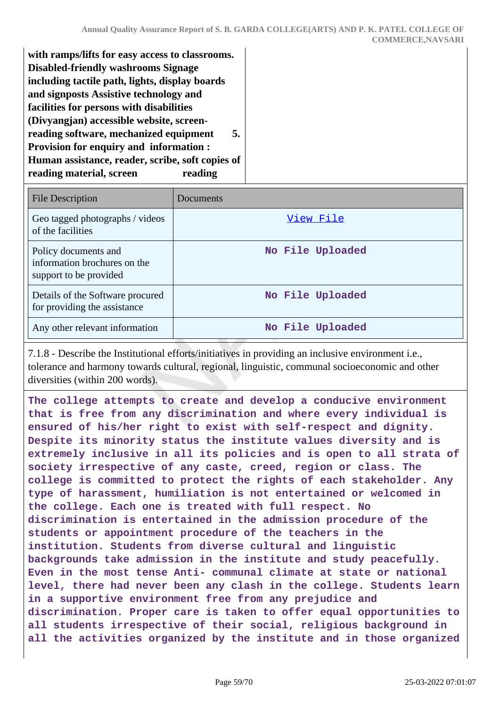**with ramps/lifts for easy access to classrooms. Disabled-friendly washrooms Signage including tactile path, lights, display boards and signposts Assistive technology and facilities for persons with disabilities (Divyangjan) accessible website, screenreading software, mechanized equipment 5. Provision for enquiry and information : Human assistance, reader, scribe, soft copies of reading material, screen reading** 

| <b>File Description</b>                                                        | Documents        |
|--------------------------------------------------------------------------------|------------------|
| Geo tagged photographs / videos<br>of the facilities                           | View File        |
| Policy documents and<br>information brochures on the<br>support to be provided | No File Uploaded |
| Details of the Software procured<br>for providing the assistance               | No File Uploaded |
| Any other relevant information                                                 | No File Uploaded |

7.1.8 - Describe the Institutional efforts/initiatives in providing an inclusive environment i.e., tolerance and harmony towards cultural, regional, linguistic, communal socioeconomic and other diversities (within 200 words).

**The college attempts to create and develop a conducive environment that is free from any discrimination and where every individual is ensured of his/her right to exist with self-respect and dignity. Despite its minority status the institute values diversity and is extremely inclusive in all its policies and is open to all strata of society irrespective of any caste, creed, region or class. The college is committed to protect the rights of each stakeholder. Any type of harassment, humiliation is not entertained or welcomed in the college. Each one is treated with full respect. No discrimination is entertained in the admission procedure of the students or appointment procedure of the teachers in the institution. Students from diverse cultural and linguistic backgrounds take admission in the institute and study peacefully. Even in the most tense Anti- communal climate at state or national level, there had never been any clash in the college. Students learn in a supportive environment free from any prejudice and discrimination. Proper care is taken to offer equal opportunities to all students irrespective of their social, religious background in all the activities organized by the institute and in those organized**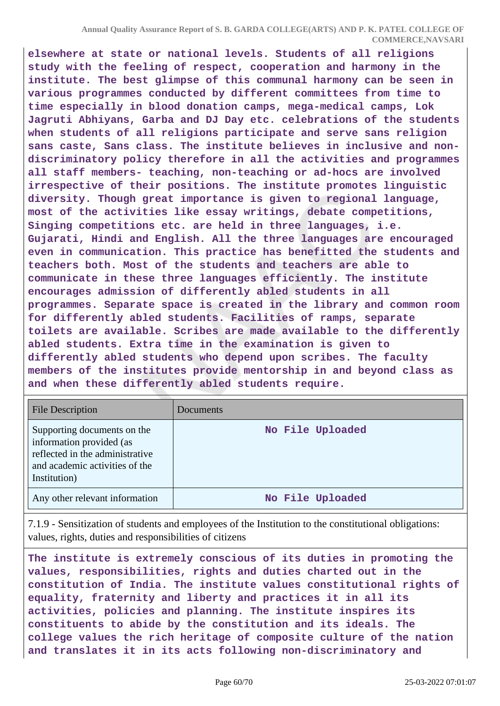**elsewhere at state or national levels. Students of all religions study with the feeling of respect, cooperation and harmony in the institute. The best glimpse of this communal harmony can be seen in various programmes conducted by different committees from time to time especially in blood donation camps, mega-medical camps, Lok Jagruti Abhiyans, Garba and DJ Day etc. celebrations of the students when students of all religions participate and serve sans religion sans caste, Sans class. The institute believes in inclusive and nondiscriminatory policy therefore in all the activities and programmes all staff members- teaching, non-teaching or ad-hocs are involved irrespective of their positions. The institute promotes linguistic diversity. Though great importance is given to regional language, most of the activities like essay writings, debate competitions, Singing competitions etc. are held in three languages, i.e. Gujarati, Hindi and English. All the three languages are encouraged even in communication. This practice has benefitted the students and teachers both. Most of the students and teachers are able to communicate in these three languages efficiently. The institute encourages admission of differently abled students in all programmes. Separate space is created in the library and common room for differently abled students. Facilities of ramps, separate toilets are available. Scribes are made available to the differently abled students. Extra time in the examination is given to differently abled students who depend upon scribes. The faculty members of the institutes provide mentorship in and beyond class as and when these differently abled students require.**

| <b>File Description</b>                                                                                                                      | Documents        |
|----------------------------------------------------------------------------------------------------------------------------------------------|------------------|
| Supporting documents on the<br>information provided (as<br>reflected in the administrative<br>and academic activities of the<br>Institution) | No File Uploaded |
| Any other relevant information                                                                                                               | No File Uploaded |

7.1.9 - Sensitization of students and employees of the Institution to the constitutional obligations: values, rights, duties and responsibilities of citizens

**The institute is extremely conscious of its duties in promoting the values, responsibilities, rights and duties charted out in the constitution of India. The institute values constitutional rights of equality, fraternity and liberty and practices it in all its activities, policies and planning. The institute inspires its constituents to abide by the constitution and its ideals. The college values the rich heritage of composite culture of the nation and translates it in its acts following non-discriminatory and**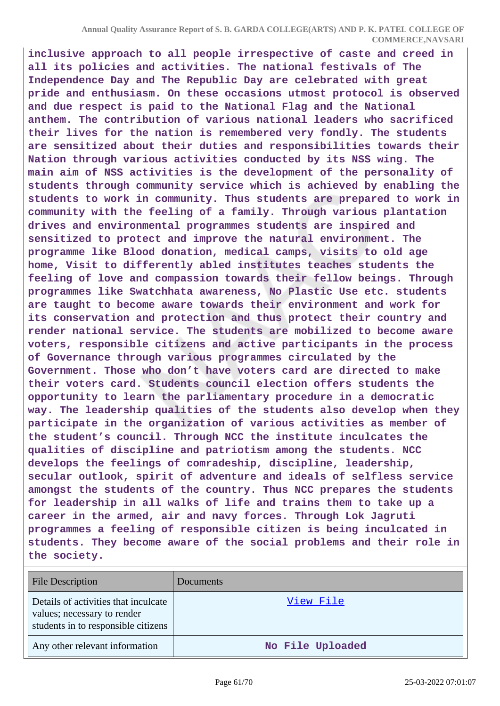**inclusive approach to all people irrespective of caste and creed in all its policies and activities. The national festivals of The Independence Day and The Republic Day are celebrated with great pride and enthusiasm. On these occasions utmost protocol is observed and due respect is paid to the National Flag and the National anthem. The contribution of various national leaders who sacrificed their lives for the nation is remembered very fondly. The students are sensitized about their duties and responsibilities towards their Nation through various activities conducted by its NSS wing. The main aim of NSS activities is the development of the personality of students through community service which is achieved by enabling the students to work in community. Thus students are prepared to work in community with the feeling of a family. Through various plantation drives and environmental programmes students are inspired and sensitized to protect and improve the natural environment. The programme like Blood donation, medical camps, visits to old age home, Visit to differently abled institutes teaches students the feeling of love and compassion towards their fellow beings. Through programmes like Swatchhata awareness, No Plastic Use etc. students are taught to become aware towards their environment and work for its conservation and protection and thus protect their country and render national service. The students are mobilized to become aware voters, responsible citizens and active participants in the process of Governance through various programmes circulated by the Government. Those who don't have voters card are directed to make their voters card. Students council election offers students the opportunity to learn the parliamentary procedure in a democratic way. The leadership qualities of the students also develop when they participate in the organization of various activities as member of the student's council. Through NCC the institute inculcates the qualities of discipline and patriotism among the students. NCC develops the feelings of comradeship, discipline, leadership, secular outlook, spirit of adventure and ideals of selfless service amongst the students of the country. Thus NCC prepares the students for leadership in all walks of life and trains them to take up a career in the armed, air and navy forces. Through Lok Jagruti programmes a feeling of responsible citizen is being inculcated in students. They become aware of the social problems and their role in the society.**

| <b>File Description</b>                                                                                    | Documents        |
|------------------------------------------------------------------------------------------------------------|------------------|
| Details of activities that inculcate<br>values; necessary to render<br>students in to responsible citizens | View File        |
| Any other relevant information                                                                             | No File Uploaded |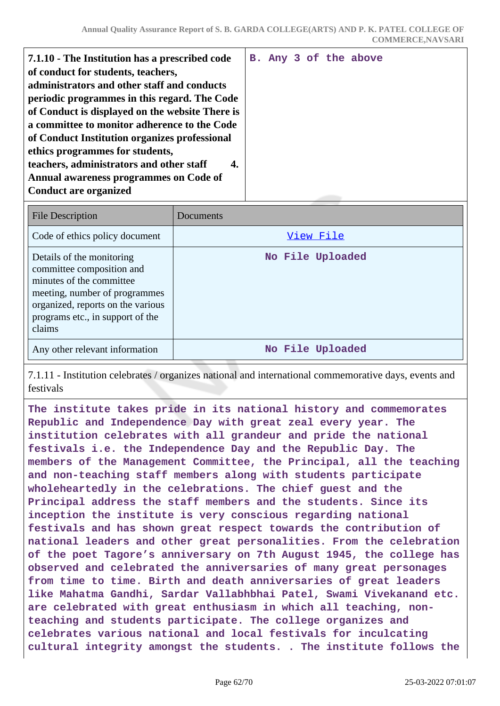| 7.1.10 - The Institution has a prescribed code<br>of conduct for students, teachers,<br>administrators and other staff and conducts<br>periodic programmes in this regard. The Code<br>of Conduct is displayed on the website There is<br>a committee to monitor adherence to the Code<br>of Conduct Institution organizes professional<br>ethics programmes for students,<br>teachers, administrators and other staff<br>4.<br>Annual awareness programmes on Code of |  |  | B. Any 3 of the above |
|------------------------------------------------------------------------------------------------------------------------------------------------------------------------------------------------------------------------------------------------------------------------------------------------------------------------------------------------------------------------------------------------------------------------------------------------------------------------|--|--|-----------------------|
| <b>Conduct are organized</b>                                                                                                                                                                                                                                                                                                                                                                                                                                           |  |  |                       |

| <b>File Description</b>                                                                                                                                                                                | Documents        |
|--------------------------------------------------------------------------------------------------------------------------------------------------------------------------------------------------------|------------------|
| Code of ethics policy document                                                                                                                                                                         | View File        |
| Details of the monitoring<br>committee composition and<br>minutes of the committee<br>meeting, number of programmes<br>organized, reports on the various<br>programs etc., in support of the<br>claims | No File Uploaded |
| Any other relevant information                                                                                                                                                                         | No File Uploaded |

7.1.11 - Institution celebrates / organizes national and international commemorative days, events and festivals

**The institute takes pride in its national history and commemorates Republic and Independence Day with great zeal every year. The institution celebrates with all grandeur and pride the national festivals i.e. the Independence Day and the Republic Day. The members of the Management Committee, the Principal, all the teaching and non-teaching staff members along with students participate wholeheartedly in the celebrations. The chief guest and the Principal address the staff members and the students. Since its inception the institute is very conscious regarding national festivals and has shown great respect towards the contribution of national leaders and other great personalities. From the celebration of the poet Tagore's anniversary on 7th August 1945, the college has observed and celebrated the anniversaries of many great personages from time to time. Birth and death anniversaries of great leaders like Mahatma Gandhi, Sardar Vallabhbhai Patel, Swami Vivekanand etc. are celebrated with great enthusiasm in which all teaching, nonteaching and students participate. The college organizes and celebrates various national and local festivals for inculcating cultural integrity amongst the students. . The institute follows the**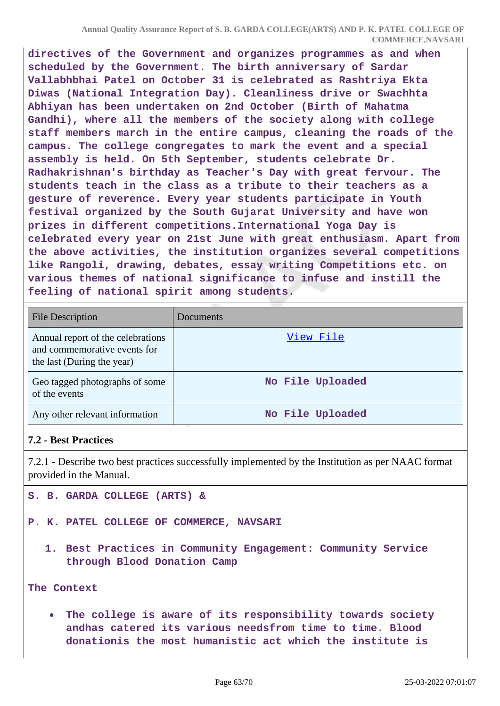**directives of the Government and organizes programmes as and when scheduled by the Government. The birth anniversary of Sardar Vallabhbhai Patel on October 31 is celebrated as Rashtriya Ekta Diwas (National Integration Day). Cleanliness drive or Swachhta Abhiyan has been undertaken on 2nd October (Birth of Mahatma Gandhi), where all the members of the society along with college staff members march in the entire campus, cleaning the roads of the campus. The college congregates to mark the event and a special assembly is held. On 5th September, students celebrate Dr. Radhakrishnan's birthday as Teacher's Day with great fervour. The students teach in the class as a tribute to their teachers as a gesture of reverence. Every year students participate in Youth festival organized by the South Gujarat University and have won prizes in different competitions.International Yoga Day is celebrated every year on 21st June with great enthusiasm. Apart from the above activities, the institution organizes several competitions like Rangoli, drawing, debates, essay writing Competitions etc. on various themes of national significance to infuse and instill the feeling of national spirit among students.**

| <b>File Description</b>                                                                         | Documents        |
|-------------------------------------------------------------------------------------------------|------------------|
| Annual report of the celebrations<br>and commemorative events for<br>the last (During the year) | View File        |
| Geo tagged photographs of some<br>of the events                                                 | No File Uploaded |
| Any other relevant information                                                                  | No File Uploaded |

# **7.2 - Best Practices**

7.2.1 - Describe two best practices successfully implemented by the Institution as per NAAC format provided in the Manual.

- **S. B. GARDA COLLEGE (ARTS) &**
- **P. K. PATEL COLLEGE OF COMMERCE, NAVSARI**
	- **1. Best Practices in Community Engagement: Community Service through Blood Donation Camp**

**The Context**

**The college is aware of its responsibility towards society andhas catered its various needsfrom time to time. Blood donationis the most humanistic act which the institute is**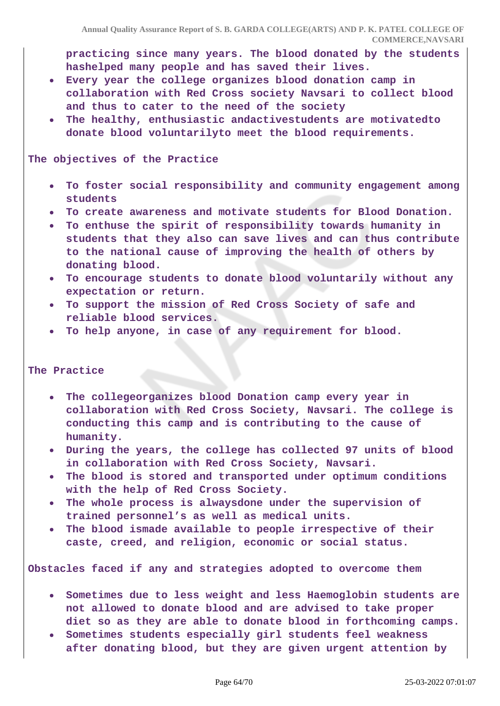**practicing since many years. The blood donated by the students hashelped many people and has saved their lives.**

- **Every year the college organizes blood donation camp in collaboration with Red Cross society Navsari to collect blood and thus to cater to the need of the society**
- **The healthy, enthusiastic andactivestudents are motivatedto donate blood voluntarilyto meet the blood requirements.**

#### **The objectives of the Practice**

- **To foster social responsibility and community engagement among students**
- **To create awareness and motivate students for Blood Donation.**
- **To enthuse the spirit of responsibility towards humanity in students that they also can save lives and can thus contribute to the national cause of improving the health of others by donating blood.**
- **To encourage students to donate blood voluntarily without any expectation or return.**
- **To support the mission of Red Cross Society of safe and reliable blood services.**
- **To help anyone, in case of any requirement for blood.**

#### **The Practice**

- **The collegeorganizes blood Donation camp every year in collaboration with Red Cross Society, Navsari. The college is conducting this camp and is contributing to the cause of humanity.**
- **During the years, the college has collected 97 units of blood in collaboration with Red Cross Society, Navsari.**
- **The blood is stored and transported under optimum conditions with the help of Red Cross Society.**
- **The whole process is alwaysdone under the supervision of trained personnel's as well as medical units.**
- **The blood ismade available to people irrespective of their caste, creed, and religion, economic or social status.**

**Obstacles faced if any and strategies adopted to overcome them**

- **Sometimes due to less weight and less Haemoglobin students are not allowed to donate blood and are advised to take proper diet so as they are able to donate blood in forthcoming camps.**
- **Sometimes students especially girl students feel weakness after donating blood, but they are given urgent attention by**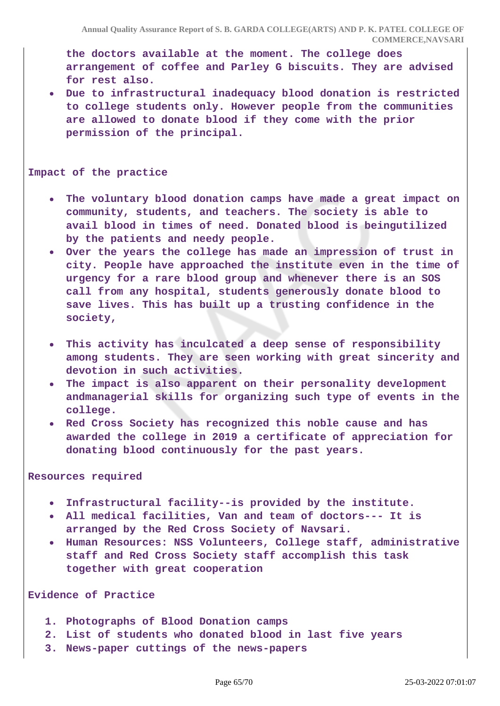**the doctors available at the moment. The college does arrangement of coffee and Parley G biscuits. They are advised for rest also.**

**Due to infrastructural inadequacy blood donation is restricted to college students only. However people from the communities are allowed to donate blood if they come with the prior permission of the principal.**

#### **Impact of the practice**

- **The voluntary blood donation camps have made a great impact on**  $\bullet$ **community, students, and teachers. The society is able to avail blood in times of need. Donated blood is beingutilized by the patients and needy people.**
- **Over the years the college has made an impression of trust in city. People have approached the institute even in the time of urgency for a rare blood group and whenever there is an SOS call from any hospital, students generously donate blood to save lives. This has built up a trusting confidence in the society,**
- **This activity has inculcated a deep sense of responsibility among students. They are seen working with great sincerity and devotion in such activities.**
- **The impact is also apparent on their personality development andmanagerial skills for organizing such type of events in the college.**
- **Red Cross Society has recognized this noble cause and has awarded the college in 2019 a certificate of appreciation for donating blood continuously for the past years.**

#### **Resources required**

- **Infrastructural facility--is provided by the institute.**
- **All medical facilities, Van and team of doctors--- It is arranged by the Red Cross Society of Navsari.**
- **Human Resources: NSS Volunteers, College staff, administrative staff and Red Cross Society staff accomplish this task together with great cooperation**

#### **Evidence of Practice**

- **1. Photographs of Blood Donation camps**
- **2. List of students who donated blood in last five years**
- **3. News-paper cuttings of the news-papers**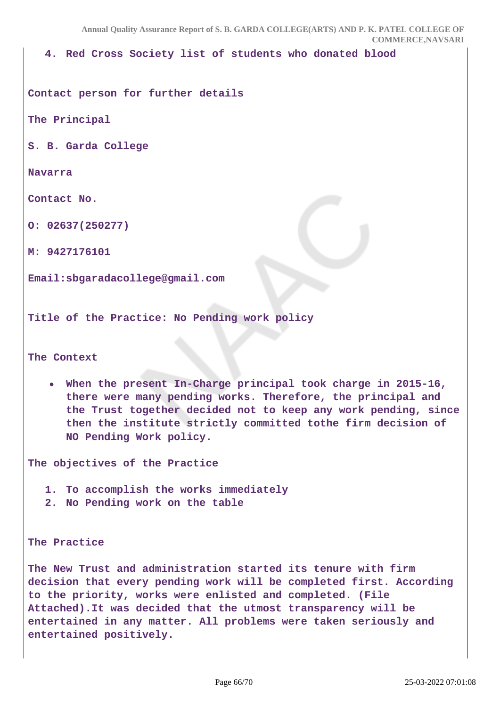**4. Red Cross Society list of students who donated blood**

**Contact person for further details**

**The Principal**

**S. B. Garda College**

#### **Navarra**

**Contact No.**

**O: 02637(250277)**

**M: 9427176101**

**Email:sbgaradacollege@gmail.com**

**Title of the Practice: No Pending work policy**

**The Context**

**When the present In-Charge principal took charge in 2015-16, there were many pending works. Therefore, the principal and the Trust together decided not to keep any work pending, since then the institute strictly committed tothe firm decision of NO Pending Work policy.**

**The objectives of the Practice**

- **1. To accomplish the works immediately**
- **2. No Pending work on the table**

**The Practice**

**The New Trust and administration started its tenure with firm decision that every pending work will be completed first. According to the priority, works were enlisted and completed. (File Attached).It was decided that the utmost transparency will be entertained in any matter. All problems were taken seriously and entertained positively.**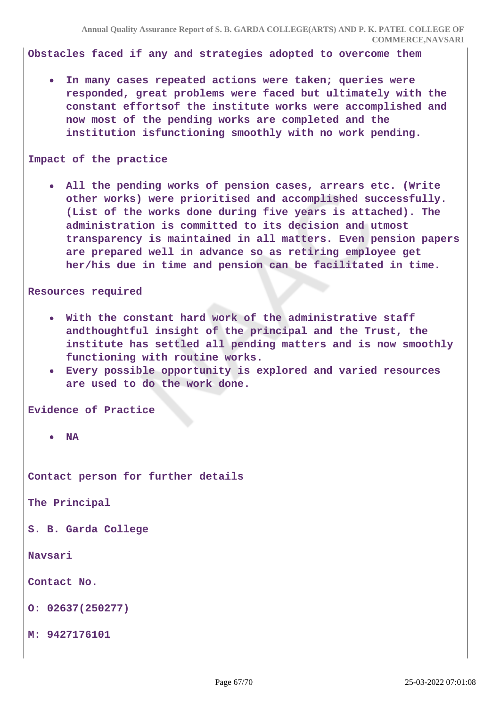**Obstacles faced if any and strategies adopted to overcome them**

**In many cases repeated actions were taken; queries were**  $\bullet$ **responded, great problems were faced but ultimately with the constant effortsof the institute works were accomplished and now most of the pending works are completed and the institution isfunctioning smoothly with no work pending.**

#### **Impact of the practice**

**All the pending works of pension cases, arrears etc. (Write other works) were prioritised and accomplished successfully. (List of the works done during five years is attached). The administration is committed to its decision and utmost transparency is maintained in all matters. Even pension papers are prepared well in advance so as retiring employee get her/his due in time and pension can be facilitated in time.**

#### **Resources required**

- **With the constant hard work of the administrative staff andthoughtful insight of the principal and the Trust, the institute has settled all pending matters and is now smoothly functioning with routine works.**
- **Every possible opportunity is explored and varied resources are used to do the work done.**

**Evidence of Practice**

**Contact person for further details**

**The Principal**

**S. B. Garda College**

**Navsari**

**Contact No.**

**O: 02637(250277)**

**M: 9427176101**

**NA**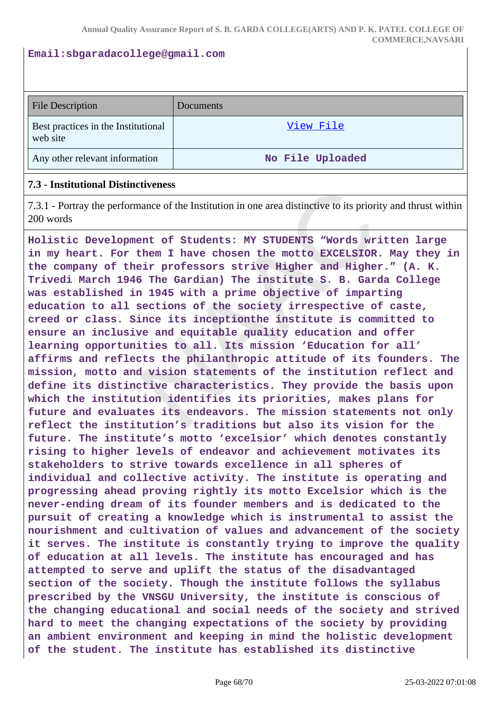#### **Email:sbgaradacollege@gmail.com**

| <b>File Description</b>                         | <b>Documents</b> |
|-------------------------------------------------|------------------|
| Best practices in the Institutional<br>web site | View File        |
| Any other relevant information                  | No File Uploaded |

#### **7.3 - Institutional Distinctiveness**

7.3.1 - Portray the performance of the Institution in one area distinctive to its priority and thrust within 200 words

**Holistic Development of Students: MY STUDENTS "Words written large in my heart. For them I have chosen the motto EXCELSIOR. May they in the company of their professors strive Higher and Higher." (A. K. Trivedi March 1946 The Gardian) The institute S. B. Garda College was established in 1945 with a prime objective of imparting education to all sections of the society irrespective of caste, creed or class. Since its inceptionthe institute is committed to ensure an inclusive and equitable quality education and offer learning opportunities to all. Its mission 'Education for all' affirms and reflects the philanthropic attitude of its founders. The mission, motto and vision statements of the institution reflect and define its distinctive characteristics. They provide the basis upon which the institution identifies its priorities, makes plans for future and evaluates its endeavors. The mission statements not only reflect the institution's traditions but also its vision for the future. The institute's motto 'excelsior' which denotes constantly rising to higher levels of endeavor and achievement motivates its stakeholders to strive towards excellence in all spheres of individual and collective activity. The institute is operating and progressing ahead proving rightly its motto Excelsior which is the never-ending dream of its founder members and is dedicated to the pursuit of creating a knowledge which is instrumental to assist the nourishment and cultivation of values and advancement of the society it serves. The institute is constantly trying to improve the quality of education at all levels. The institute has encouraged and has attempted to serve and uplift the status of the disadvantaged section of the society. Though the institute follows the syllabus prescribed by the VNSGU University, the institute is conscious of the changing educational and social needs of the society and strived hard to meet the changing expectations of the society by providing an ambient environment and keeping in mind the holistic development of the student. The institute has established its distinctive**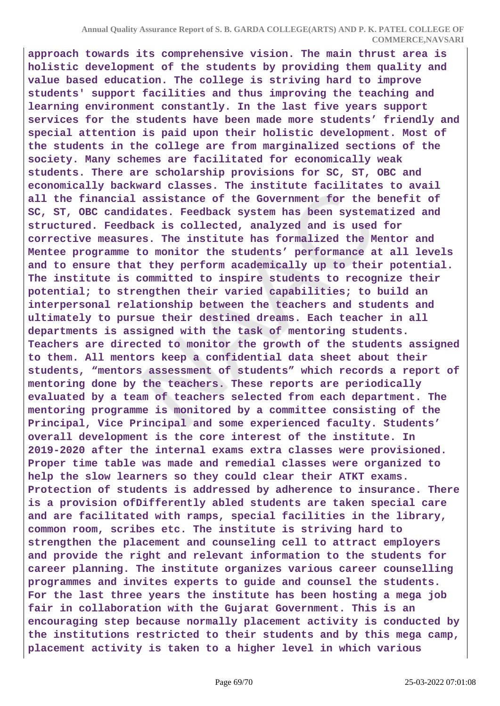**approach towards its comprehensive vision. The main thrust area is holistic development of the students by providing them quality and value based education. The college is striving hard to improve students' support facilities and thus improving the teaching and learning environment constantly. In the last five years support services for the students have been made more students' friendly and special attention is paid upon their holistic development. Most of the students in the college are from marginalized sections of the society. Many schemes are facilitated for economically weak students. There are scholarship provisions for SC, ST, OBC and economically backward classes. The institute facilitates to avail all the financial assistance of the Government for the benefit of SC, ST, OBC candidates. Feedback system has been systematized and structured. Feedback is collected, analyzed and is used for corrective measures. The institute has formalized the Mentor and Mentee programme to monitor the students' performance at all levels and to ensure that they perform academically up to their potential. The institute is committed to inspire students to recognize their potential; to strengthen their varied capabilities; to build an interpersonal relationship between the teachers and students and ultimately to pursue their destined dreams. Each teacher in all departments is assigned with the task of mentoring students. Teachers are directed to monitor the growth of the students assigned to them. All mentors keep a confidential data sheet about their students, "mentors assessment of students" which records a report of mentoring done by the teachers. These reports are periodically evaluated by a team of teachers selected from each department. The mentoring programme is monitored by a committee consisting of the Principal, Vice Principal and some experienced faculty. Students' overall development is the core interest of the institute. In 2019-2020 after the internal exams extra classes were provisioned. Proper time table was made and remedial classes were organized to help the slow learners so they could clear their ATKT exams. Protection of students is addressed by adherence to insurance. There is a provision ofDifferently abled students are taken special care and are facilitated with ramps, special facilities in the library, common room, scribes etc. The institute is striving hard to strengthen the placement and counseling cell to attract employers and provide the right and relevant information to the students for career planning. The institute organizes various career counselling programmes and invites experts to guide and counsel the students. For the last three years the institute has been hosting a mega job fair in collaboration with the Gujarat Government. This is an encouraging step because normally placement activity is conducted by the institutions restricted to their students and by this mega camp, placement activity is taken to a higher level in which various**